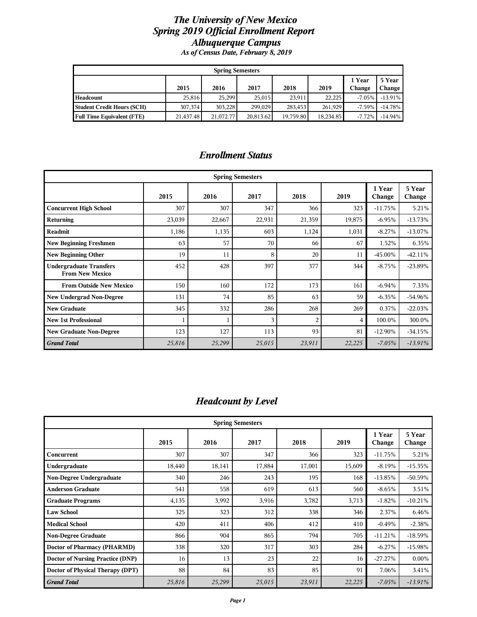#### *The University of New Mexico Spring 2019 Official Enrollment Report Albuquerque Campus As of Census Date, February 8, 2019*

| <b>Spring Semesters</b>                                                      |           |           |           |           |           |          |            |  |  |
|------------------------------------------------------------------------------|-----------|-----------|-----------|-----------|-----------|----------|------------|--|--|
| 1 Year<br>5 Year<br>2019<br>2015<br>2017<br>2018<br>2016<br>Change<br>Change |           |           |           |           |           |          |            |  |  |
| Headcount                                                                    | 25.816    | 25.299    | 25.015    | 23.911    | 22.225    | $-7.05%$ | $-13.91\%$ |  |  |
| <b>Student Credit Hours (SCH)</b>                                            | 307.374   | 303.228   | 299.029   | 283.453   | 261.929   | $-7.59%$ | $-14.78\%$ |  |  |
| <b>Full Time Equivalent (FTE)</b>                                            | 21,437.48 | 21,072.77 | 20,813.62 | 19,759.80 | 18,234.85 | $-7.72%$ | $-14.94\%$ |  |  |

#### *Enrollment Status*

|                                                          | <b>Spring Semesters</b> |        |        |                |        |                  |                  |  |  |  |  |
|----------------------------------------------------------|-------------------------|--------|--------|----------------|--------|------------------|------------------|--|--|--|--|
|                                                          | 2015                    | 2016   | 2017   | 2018           | 2019   | 1 Year<br>Change | 5 Year<br>Change |  |  |  |  |
| <b>Concurrent High School</b>                            | 307                     | 307    | 347    | 366            | 323    | $-11.75%$        | 5.21%            |  |  |  |  |
| <b>Returning</b>                                         | 23,039                  | 22,667 | 22,931 | 21,359         | 19,875 | $-6.95%$         | $-13.73%$        |  |  |  |  |
| Readmit                                                  | 1,186                   | 1,135  | 603    | 1,124          | 1,031  | $-8.27%$         | $-13.07%$        |  |  |  |  |
| <b>New Beginning Freshmen</b>                            | 63                      | 57     | 70     | 66             | 67     | 1.52%            | 6.35%            |  |  |  |  |
| <b>New Beginning Other</b>                               | 19                      | 11     | 8      | 20             | 11     | $-45.00\%$       | $-42.11%$        |  |  |  |  |
| <b>Undergraduate Transfers</b><br><b>From New Mexico</b> | 452                     | 428    | 397    | 377            | 344    | $-8.75%$         | $-23.89%$        |  |  |  |  |
| <b>From Outside New Mexico</b>                           | 150                     | 160    | 172    | 173            | 161    | $-6.94%$         | 7.33%            |  |  |  |  |
| <b>New Undergrad Non-Degree</b>                          | 131                     | 74     | 85     | 63             | 59     | $-6.35%$         | -54.96%          |  |  |  |  |
| <b>New Graduate</b>                                      | 345                     | 332    | 286    | 268            | 269    | 0.37%            | $-22.03%$        |  |  |  |  |
| <b>New 1st Professional</b>                              |                         |        | 3      | $\overline{2}$ | 4      | 100.0%           | 300.0%           |  |  |  |  |
| <b>New Graduate Non-Degree</b>                           | 123                     | 127    | 113    | 93             | 81     | $-12.90\%$       | $-34.15%$        |  |  |  |  |
| <b>Grand Total</b>                                       | 25,816                  | 25,299 | 25,015 | 23,911         | 22,225 | $-7.05%$         | $-13.91%$        |  |  |  |  |

# *Headcount by Level*

|                                  |        |        | <b>Spring Semesters</b> |        |        |                  |                  |
|----------------------------------|--------|--------|-------------------------|--------|--------|------------------|------------------|
|                                  | 2015   | 2016   | 2017                    | 2018   | 2019   | 1 Year<br>Change | 5 Year<br>Change |
| Concurrent                       | 307    | 307    | 347                     | 366    | 323    | $-11.75%$        | 5.21%            |
| Undergraduate                    | 18,440 | 18,141 | 17,884                  | 17,001 | 15,609 | $-8.19%$         | $-15.35%$        |
| Non-Degree Undergraduate         | 340    | 246    | 243                     | 195    | 168    | $-13.85%$        | -50.59%          |
| <b>Anderson Graduate</b>         | 541    | 558    | 619                     | 613    | 560    | $-8.65%$         | 3.51%            |
| <b>Graduate Programs</b>         | 4,135  | 3,992  | 3,916                   | 3,782  | 3,713  | $-1.82%$         | $-10.21%$        |
| <b>Law School</b>                | 325    | 323    | 312                     | 338    | 346    | 2.37%            | 6.46%            |
| <b>Medical School</b>            | 420    | 411    | 406                     | 412    | 410    | $-0.49%$         | $-2.38%$         |
| <b>Non-Degree Graduate</b>       | 866    | 904    | 865                     | 794    | 705    | $-11.21%$        | $-18.59%$        |
| Doctor of Pharmacy (PHARMD)      | 338    | 320    | 317                     | 303    | 284    | $-6.27%$         | $-15.98%$        |
| Doctor of Nursing Practice (DNP) | 16     | 13     | 23                      | 22     | 16     | $-27.27%$        | 0.00%            |
| Doctor of Physical Therapy (DPT) | 88     | 84     | 83                      | 85     | 91     | 7.06%            | 3.41%            |
| <b>Grand Total</b>               | 25,816 | 25,299 | 25,015                  | 23,911 | 22,225 | $-7.05%$         | $-13.91%$        |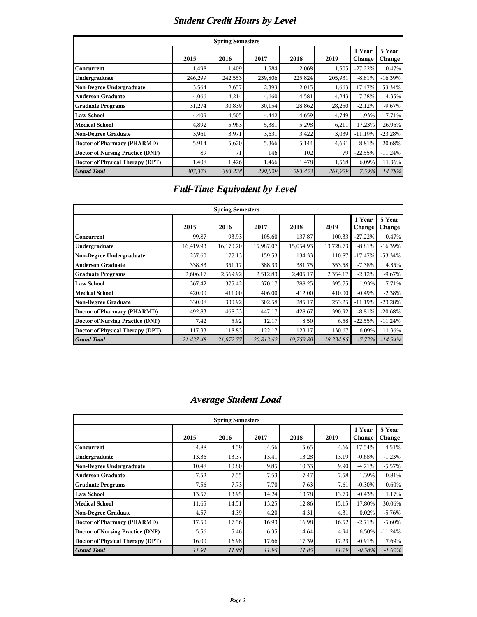# *Student Credit Hours by Level*

|                                         |                                                                              | <b>Spring Semesters</b> |         |         |         |           |           |  |  |  |  |
|-----------------------------------------|------------------------------------------------------------------------------|-------------------------|---------|---------|---------|-----------|-----------|--|--|--|--|
|                                         | 1 Year<br>5 Year<br>2015<br>2016<br>2018<br>2019<br>2017<br>Change<br>Change |                         |         |         |         |           |           |  |  |  |  |
| Concurrent                              | 1,498                                                                        | 1,409                   | 1,584   | 2,068   | 1,505   | $-27.22%$ | 0.47%     |  |  |  |  |
| Undergraduate                           | 246,299                                                                      | 242,553                 | 239,806 | 225,824 | 205,931 | $-8.81%$  | $-16.39%$ |  |  |  |  |
| Non-Degree Undergraduate                | 3,564                                                                        | 2,657                   | 2,393   | 2,015   | 1,663   | $-17.47%$ | $-53.34%$ |  |  |  |  |
| <b>Anderson Graduate</b>                | 4,066                                                                        | 4,214                   | 4,660   | 4,581   | 4,243   | $-7.38%$  | 4.35%     |  |  |  |  |
| <b>Graduate Programs</b>                | 31,274                                                                       | 30,839                  | 30,154  | 28,862  | 28,250  | $-2.12%$  | $-9.67%$  |  |  |  |  |
| <b>Law School</b>                       | 4,409                                                                        | 4,505                   | 4,442   | 4,659   | 4,749   | 1.93%     | 7.71%     |  |  |  |  |
| <b>Medical School</b>                   | 4,892                                                                        | 5,963                   | 5,381   | 5,298   | 6,211   | 17.23%    | 26.96%    |  |  |  |  |
| <b>Non-Degree Graduate</b>              | 3,961                                                                        | 3,971                   | 3,631   | 3,422   | 3,039   | $-11.19%$ | $-23.28%$ |  |  |  |  |
| <b>Doctor of Pharmacy (PHARMD)</b>      | 5,914                                                                        | 5,620                   | 5,366   | 5,144   | 4,691   | $-8.81%$  | $-20.68%$ |  |  |  |  |
| <b>Doctor of Nursing Practice (DNP)</b> | 89                                                                           | 71                      | 146     | 102     | 79      | $-22.55%$ | $-11.24%$ |  |  |  |  |
| Doctor of Physical Therapy (DPT)        | 1,408                                                                        | 1,426                   | 1,466   | 1,478   | 1,568   | 6.09%     | 11.36%    |  |  |  |  |
| <b>Grand Total</b>                      | 307,374                                                                      | 303,228                 | 299,029 | 283,453 | 261,929 | $-7.59%$  | $-14.78%$ |  |  |  |  |

# *Full-Time Equivalent by Level*

|                                         |           | <b>Spring Semesters</b> |           |           |           |                  |                  |
|-----------------------------------------|-----------|-------------------------|-----------|-----------|-----------|------------------|------------------|
|                                         | 2015      | 2016                    | 2017      | 2018      | 2019      | 1 Year<br>Change | 5 Year<br>Change |
| Concurrent                              | 99.87     | 93.93                   | 105.60    | 137.87    | 100.33    | $-27.22%$        | 0.47%            |
| Undergraduate                           | 16,419.93 | 16,170.20               | 15,987.07 | 15,054.93 | 13,728.73 | $-8.81%$         | $-16.39%$        |
| Non-Degree Undergraduate                | 237.60    | 177.13                  | 159.53    | 134.33    | 110.87    | $-17.47%$        | $-53.34%$        |
| <b>Anderson Graduate</b>                | 338.83    | 351.17                  | 388.33    | 381.75    | 353.58    | $-7.38%$         | 4.35%            |
| <b>Graduate Programs</b>                | 2,606.17  | 2,569.92                | 2,512.83  | 2,405.17  | 2,354.17  | $-2.12%$         | $-9.67%$         |
| <b>Law School</b>                       | 367.42    | 375.42                  | 370.17    | 388.25    | 395.75    | 1.93%            | 7.71%            |
| <b>Medical School</b>                   | 420.00    | 411.00                  | 406.00    | 412.00    | 410.00    | $-0.49%$         | $-2.38%$         |
| Non-Degree Graduate                     | 330.08    | 330.92                  | 302.58    | 285.17    | 253.25    | $-11.19%$        | $-23.28%$        |
| Doctor of Pharmacy (PHARMD)             | 492.83    | 468.33                  | 447.17    | 428.67    | 390.92    | $-8.81%$         | $-20.68\%$       |
| <b>Doctor of Nursing Practice (DNP)</b> | 7.42      | 5.92                    | 12.17     | 8.50      | 6.58      | $-22.55%$        | $-11.24%$        |
| Doctor of Physical Therapy (DPT)        | 117.33    | 118.83                  | 122.17    | 123.17    | 130.67    | 6.09%            | 11.36%           |
| <b>Grand Total</b>                      | 21,437.48 | 21,072.77               | 20,813.62 | 19,759.80 | 18,234.85 | $-7.72%$         | $-14.94%$        |

# *Average Student Load*

|                                         |       | <b>Spring Semesters</b> |       |       |       |                  |                  |
|-----------------------------------------|-------|-------------------------|-------|-------|-------|------------------|------------------|
|                                         | 2015  | 2016                    | 2017  | 2018  | 2019  | 1 Year<br>Change | 5 Year<br>Change |
| Concurrent                              | 4.88  | 4.59                    | 4.56  | 5.65  | 4.66  | $-17.54%$        | $-4.51%$         |
| Undergraduate                           | 13.36 | 13.37                   | 13.41 | 13.28 | 13.19 | $-0.68%$         | $-1.23%$         |
| Non-Degree Undergraduate                | 10.48 | 10.80                   | 9.85  | 10.33 | 9.90  | $-4.21%$         | $-5.57%$         |
| <b>Anderson Graduate</b>                | 7.52  | 7.55                    | 7.53  | 7.47  | 7.58  | 1.39%            | 0.81%            |
| <b>Graduate Programs</b>                | 7.56  | 7.73                    | 7.70  | 7.63  | 7.61  | $-0.30%$         | 0.60%            |
| <b>Law School</b>                       | 13.57 | 13.95                   | 14.24 | 13.78 | 13.73 | $-0.43%$         | 1.17%            |
| <b>Medical School</b>                   | 11.65 | 14.51                   | 13.25 | 12.86 | 15.15 | 17.80%           | 30.06%           |
| <b>Non-Degree Graduate</b>              | 4.57  | 4.39                    | 4.20  | 4.31  | 4.31  | 0.02%            | $-5.76%$         |
| <b>Doctor of Pharmacy (PHARMD)</b>      | 17.50 | 17.56                   | 16.93 | 16.98 | 16.52 | $-2.71%$         | $-5.60%$         |
| <b>Doctor of Nursing Practice (DNP)</b> | 5.56  | 5.46                    | 6.35  | 4.64  | 4.94  | 6.50%            | $-11.24%$        |
| Doctor of Physical Therapy (DPT)        | 16.00 | 16.98                   | 17.66 | 17.39 | 17.23 | $-0.91%$         | 7.69%            |
| <b>Grand Total</b>                      | 11.91 | 11.99                   | 11.95 | 11.85 | 11.79 | $-0.58%$         | $-1.02%$         |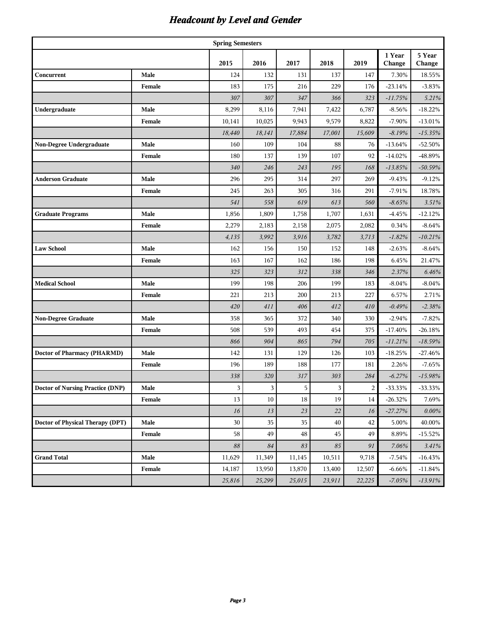# *Headcount by Level and Gender*

|                                         |        | <b>Spring Semesters</b> |           |          |               |        |                  |                  |
|-----------------------------------------|--------|-------------------------|-----------|----------|---------------|--------|------------------|------------------|
|                                         |        | 2015                    | 2016      | 2017     | 2018          | 2019   | 1 Year<br>Change | 5 Year<br>Change |
| Concurrent                              | Male   | 124                     | 132       | 131      | 137           | 147    | 7.30%            | 18.55%           |
|                                         | Female | 183                     | 175       | 216      | 229           | 176    | $-23.14%$        | $-3.83%$         |
|                                         |        | 307                     | 307       | 347      | 366           | 323    | $-11.75%$        | 5.21%            |
| Undergraduate                           | Male   | 8,299                   | 8,116     | 7,941    | 7,422         | 6,787  | $-8.56%$         | $-18.22%$        |
|                                         | Female | 10,141                  | 10,025    | 9,943    | 9,579         | 8,822  | $-7.90\%$        | $-13.01%$        |
|                                         |        | 18,440                  | 18,141    | 17,884   | 17,001        | 15,609 | $-8.19%$         | $-15.35%$        |
| Non-Degree Undergraduate                | Male   | 160                     | 109       | 104      | 88            | 76     | -13.64%          | $-52.50%$        |
|                                         | Female | 180                     | 137       | 139      | 107           | 92     | $-14.02%$        | -48.89%          |
|                                         |        | 340                     | 246       | 243      | 195           | 168    | $-13.85%$        | $-50.59%$        |
| <b>Anderson Graduate</b>                | Male   | 296                     | 295       | 314      | 297           | 269    | $-9.43%$         | $-9.12%$         |
|                                         | Female | 245                     | 263       | 305      | 316           | 291    | $-7.91%$         | 18.78%           |
|                                         |        | 541                     | 558       | 619      | 613           | 560    | $-8.65%$         | 3.51%            |
| <b>Graduate Programs</b>                | Male   | 1,856                   | 1,809     | 1,758    | 1,707         | 1,631  | $-4.45%$         | $-12.12%$        |
|                                         | Female | 2,279                   | 2,183     | 2,158    | 2,075         | 2,082  | 0.34%            | $-8.64%$         |
|                                         |        | 4,135                   | 3,992     | 3,916    | 3,782         | 3,713  | $-1.82%$         | $-10.21%$        |
| <b>Law School</b>                       | Male   | 162                     | 156       | 150      | 152           | 148    | $-2.63%$         | $-8.64%$         |
|                                         | Female | 163                     | 167       | 162      | 186           | 198    | 6.45%            | 21.47%           |
|                                         |        | 325                     | 323       | 312      | 338           | 346    | 2.37%            | 6.46%            |
| <b>Medical School</b>                   | Male   | 199                     | 198       | 206      | 199           | 183    | $-8.04%$         | $-8.04%$         |
|                                         | Female | 221                     | 213       | 200      | 213           | 227    | 6.57%            | 2.71%            |
|                                         |        | 420                     | 411       | 406      | 412           | 410    | $-0.49%$         | $-2.38%$         |
| <b>Non-Degree Graduate</b>              | Male   | 358                     | 365       | 372      | 340           | 330    | $-2.94%$         | $-7.82%$         |
|                                         | Female | 508                     | 539       | 493      | 454           | 375    | $-17.40%$        | $-26.18%$        |
|                                         |        | 866                     | 904       | 865      | 794           | 705    | $-11.21%$        | $-18.59%$        |
| <b>Doctor of Pharmacy (PHARMD)</b>      | Male   | 142                     | 131       | 129      | 126           | 103    | $-18.25%$        | $-27.46%$        |
|                                         | Female | 196                     | 189       | 188      | 177           | 181    | 2.26%            | $-7.65%$         |
|                                         |        | 338                     | 320       | 317      | 303           | 284    | $-6.27%$         | $-15.98%$        |
| <b>Doctor of Nursing Practice (DNP)</b> | Male   | 3                       | $\vert$ 3 | 5        | $\frac{3}{ }$ | 2      | $-33.33%$        | $-33.33\%$       |
|                                         | Female | 13                      | 10        | 18       | 19            | 14     | $-26.32%$        | 7.69%            |
|                                         |        | 16                      | 13        | 23       | $22\,$        | 16     | $-27.27%$        | $0.00\%$         |
| Doctor of Physical Therapy (DPT)        | Male   | 30                      | 35        | 35       | $40\,$        | 42     | 5.00%            | 40.00%           |
|                                         | Female | 58                      | 49        | $\rm 48$ | 45            | 49     | 8.89%            | $-15.52%$        |
|                                         |        | 88                      | 84        | 83       | $85\,$        | 91     | 7.06%            | 3.41%            |
| <b>Grand Total</b>                      | Male   | 11,629                  | 11,349    | 11,145   | 10,511        | 9,718  | $-7.54%$         | $-16.43%$        |
|                                         | Female | 14,187                  | 13,950    | 13,870   | 13,400        | 12,507 | $-6.66%$         | $-11.84%$        |
|                                         |        | 25,816                  | 25,299    | 25,015   | 23,911        | 22,225 | $-7.05%$         | $-13.91%$        |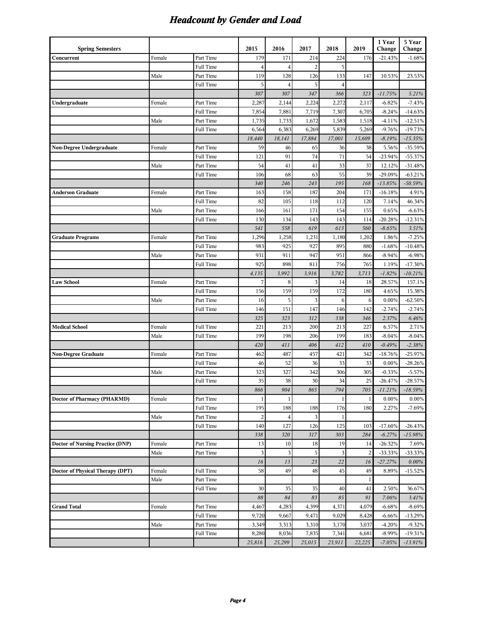# *Headcount by Gender and Load*

| <b>Spring Semesters</b>                 |        |           | 2015                    | 2016           | 2017           | 2018           | 2019           | 1 Year<br>Change | 5 Year<br>Change |
|-----------------------------------------|--------|-----------|-------------------------|----------------|----------------|----------------|----------------|------------------|------------------|
|                                         | Female | Part Time | 179                     | 171            | 214            | 224            | 176            | $-21.43%$        | $-1.68%$         |
| Concurrent                              |        | Full Time | 4                       | $\overline{4}$ | $\overline{2}$ | 5              |                |                  |                  |
|                                         | Male   | Part Time | 119                     | 128            | 126            | 133            | 147            | 10.53%           | 23.53%           |
|                                         |        | Full Time | 5                       | $\overline{4}$ | 5              | $\overline{4}$ |                |                  |                  |
|                                         |        |           | 307                     | 307            | 347            | 366            | 323            | $-11.75%$        | 5.21%            |
| Undergraduate                           | Female | Part Time | 2,287                   | 2,144          | 2,224          | 2,272          | 2,117          | $-6.82%$         | $-7.43%$         |
|                                         |        | Full Time | 7,854                   | 7,881          | 7,719          | 7,307          | 6,705          | $-8.24%$         | $-14.63%$        |
|                                         | Male   | Part Time | 1,735                   | 1,733          | 1,672          | 1,583          | 1,518          | $-4.11%$         | $-12.51%$        |
|                                         |        | Full Time | 6,564                   | 6,383          | 6,269          | 5,839          | 5,269          | $-9.76%$         | $-19.73%$        |
|                                         |        |           | 18,440                  | 18,141         | 17,884         | 17,001         | 15,609         | $-8.19%$         | $-15.35%$        |
| Non-Degree Undergraduate                | Female | Part Time | 59                      | 46             | 65             | 36             | 38             | 5.56%            | $-35.59%$        |
|                                         |        | Full Time | 121                     | 91             | 74             | 71             | 54             | $-23.94%$        | $-55.37%$        |
|                                         | Male   | Part Time | 54                      | 41             | 41             | 33             | 37             | 12.12%           | $-31.48%$        |
|                                         |        | Full Time | 106                     | 68             | 63             | 55             | 39             | -29.09%          | $-63.21%$        |
|                                         |        |           | 340                     | 246            | 243            | 195            | 168            | $-13.85%$        | $-50.59%$        |
| <b>Anderson Graduate</b>                | Female | Part Time | 163                     | 158            | 187            | 204            | 171            | $-16.18%$        | 4.91%            |
|                                         |        | Full Time | 82                      | 105            | 118            | 112            | 120            | 7.14%            | 46.34%           |
|                                         | Male   | Part Time | 166                     | 161            | 171            | 154            | 155            | 0.65%            | $-6.63%$         |
|                                         |        | Full Time | 130                     | 134            | 143            | 143            | 114            | $-20.28%$        | $-12.31%$        |
|                                         |        |           | 541                     | 558            | 619            | 613            | 560            | $-8.65%$         | 3.51%            |
| <b>Graduate Programs</b>                | Female | Part Time | 1,296                   | 1,258          | 1,231          | 1,180          | 1,202          | 1.86%            | $-7.25%$         |
|                                         |        | Full Time | 983                     | 925            | 927            | 895            | 880            | $-1.68%$         | $-10.48%$        |
|                                         | Male   | Part Time | 931                     | 911            | 947            | 951            | 866            | $-8.94%$         | $-6.98%$         |
|                                         |        | Full Time | 925                     | 898            | 811            | 756            | 765            | 1.19%            | $-17.30%$        |
|                                         |        |           | 4,135                   | 3,992          | 3,916          | 3,782          | 3,713          | $-1.82%$         | $-10.21%$        |
| <b>Law School</b>                       | Female | Part Time | 7                       | 8              | 3              | 14             | 18             | 28.57%           | 157.1%           |
|                                         |        | Full Time | 156                     | 159            | 159            | 172            | 180            | 4.65%            | 15.38%           |
|                                         | Male   | Part Time | 16                      | 5              | 3              | 6              | 6              | 0.00%            | $-62.50\%$       |
|                                         |        | Full Time | 146                     | 151            | 147            | 146            | 142            | $-2.74%$         | $-2.74%$         |
|                                         |        |           | 325                     | 323            | 312            | 338            | 346            | 2.37%            | 6.46%            |
| <b>Medical School</b>                   | Female | Full Time | 221                     | 213            | 200            | 213            | 227            | 6.57%            | 2.71%            |
|                                         | Male   | Full Time | 199                     | 198            | 206            | 199            | 183            | $-8.04%$         | $-8.04%$         |
|                                         |        |           | 420                     | 411            | 406            | 412            | 410            | $-0.49%$         | $-2.38%$         |
| <b>Non-Degree Graduate</b>              | Female | Part Time | 462                     | 487            | 457            | 421            | 342            | $-18.76%$        | $-25.97%$        |
|                                         |        | Full Time | 46                      | 52             | 36             | 33             | 33             | 0.00%            | $-28.26%$        |
|                                         | Male   | Part Time | 323                     | 327            | 342            | 306            | 305            | $-0.33%$         | $-5.57%$         |
|                                         |        | Full Time | 35                      | 38             | 30             | 34             | 25             | $-26.47%$        | $-28.57%$        |
|                                         |        |           | 866                     | 904            | 865            | 794            | 705            | $-11.21%$        | $-18.59%$        |
| Doctor of Pharmacy (PHARMD)             | Female | Part Time | $\mathbf{1}$            | $\mathbf{1}$   |                | $\mathbf{1}$   | $\mathbf{1}$   | 0.00%            | 0.00%            |
|                                         |        | Full Time | 195                     | 188            | 188            | 176            | 180            | 2.27%            | $-7.69%$         |
|                                         | Male   | Part Time | $\overline{\mathbf{c}}$ | $\overline{4}$ | 3              | 1              |                |                  |                  |
|                                         |        | Full Time | 140                     | 127            | 126            | 125            | 103            | $-17.60%$        | $-26.43%$        |
|                                         |        |           | 338                     | 320            | 317            | 303            | 284            | $-6.27%$         | $-15.98%$        |
| <b>Doctor of Nursing Practice (DNP)</b> | Female | Part Time | 13                      | 10             | 18             | 19             | 14             | $-26.32%$        | 7.69%            |
|                                         | Male   | Part Time | 3                       | 3              | 5              | 3              | $\overline{2}$ | $-33.33%$        | $-33.33%$        |
|                                         |        |           | 16                      | 13             | 23             | 22             | 16             | $-27.27%$        | $0.00\%$         |
| Doctor of Physical Therapy (DPT)        | Female | Full Time | 58                      | 49             | 48             | 45             | 49             | 8.89%            | $-15.52%$        |
|                                         | Male   | Part Time |                         |                |                |                | $\,1$          |                  |                  |
|                                         |        | Full Time | 30                      | 35             | 35             | 40             | 41             | 2.50%            | 36.67%           |
|                                         |        |           | $88\,$                  | 84             | 83             | 85             | 91             | 7.06%            | 3.41%            |
| <b>Grand Total</b>                      | Female | Part Time | 4,467                   | 4,283          | 4,399          | 4,371          | 4,079          | $-6.68%$         | $-8.69%$         |
|                                         |        | Full Time | 9,720                   | 9,667          | 9,471          | 9,029          | 8,428          | $-6.66%$         | $-13.29%$        |
|                                         | Male   | Part Time | 3,349                   | 3,313          | 3,310          | 3,170          | 3,037          | $-4.20%$         | $-9.32%$         |
|                                         |        | Full Time | 8,280                   | 8,036          | 7,835          | 7,341          | 6,681          | $-8.99%$         | $-19.31%$        |
|                                         |        |           | 25,816                  | 25,299         | 25,015         | 23,911         | 22,225         | $-7.05%$         | $-13.91%$        |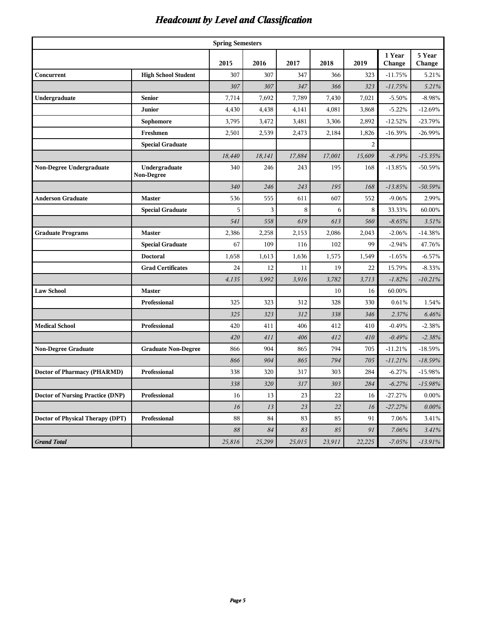# *Headcount by Level and Classification*

|                                         | <b>Spring Semesters</b>     |        |        |        |        |                |                  |                  |  |  |
|-----------------------------------------|-----------------------------|--------|--------|--------|--------|----------------|------------------|------------------|--|--|
|                                         |                             | 2015   | 2016   | 2017   | 2018   | 2019           | 1 Year<br>Change | 5 Year<br>Change |  |  |
| Concurrent                              | <b>High School Student</b>  | 307    | 307    | 347    | 366    | 323            | $-11.75%$        | 5.21%            |  |  |
|                                         |                             | 307    | 307    | 347    | 366    | 323            | $-11.75%$        | 5.21%            |  |  |
| Undergraduate                           | <b>Senior</b>               | 7,714  | 7,692  | 7,789  | 7,430  | 7,021          | $-5.50%$         | $-8.98%$         |  |  |
|                                         | Junior                      | 4,430  | 4,438  | 4,141  | 4,081  | 3,868          | $-5.22%$         | $-12.69%$        |  |  |
|                                         | Sophomore                   | 3,795  | 3,472  | 3,481  | 3,306  | 2,892          | $-12.52%$        | $-23.79%$        |  |  |
|                                         | Freshmen                    | 2,501  | 2,539  | 2,473  | 2,184  | 1,826          | $-16.39%$        | $-26.99%$        |  |  |
|                                         | <b>Special Graduate</b>     |        |        |        |        | $\overline{2}$ |                  |                  |  |  |
|                                         |                             | 18,440 | 18,141 | 17,884 | 17,001 | 15,609         | $-8.19%$         | $-15.35%$        |  |  |
| Non-Degree Undergraduate                | Undergraduate<br>Non-Degree | 340    | 246    | 243    | 195    | 168            | $-13.85%$        | $-50.59%$        |  |  |
|                                         |                             | 340    | 246    | 243    | 195    | 168            | $-13.85%$        | $-50.59%$        |  |  |
| <b>Anderson Graduate</b>                | <b>Master</b>               | 536    | 555    | 611    | 607    | 552            | $-9.06%$         | 2.99%            |  |  |
|                                         | <b>Special Graduate</b>     | 5      | 3      | 8      | 6      | 8              | 33.33%           | 60.00%           |  |  |
|                                         |                             | 541    | 558    | 619    | 613    | 560            | $-8.65%$         | 3.51%            |  |  |
| <b>Graduate Programs</b>                | <b>Master</b>               | 2,386  | 2,258  | 2,153  | 2,086  | 2,043          | $-2.06%$         | $-14.38%$        |  |  |
|                                         | <b>Special Graduate</b>     | 67     | 109    | 116    | 102    | 99             | $-2.94%$         | 47.76%           |  |  |
|                                         | <b>Doctoral</b>             | 1,658  | 1,613  | 1,636  | 1,575  | 1,549          | $-1.65%$         | $-6.57%$         |  |  |
|                                         | <b>Grad Certificates</b>    | 24     | 12     | 11     | 19     | 22             | 15.79%           | $-8.33%$         |  |  |
|                                         |                             | 4,135  | 3,992  | 3,916  | 3,782  | 3,713          | $-1.82%$         | $-10.21%$        |  |  |
| <b>Law School</b>                       | <b>Master</b>               |        |        |        | 10     | 16             | 60.00%           |                  |  |  |
|                                         | Professional                | 325    | 323    | 312    | 328    | 330            | 0.61%            | 1.54%            |  |  |
|                                         |                             | 325    | 323    | 312    | 338    | 346            | 2.37%            | 6.46%            |  |  |
| <b>Medical School</b>                   | Professional                | 420    | 411    | 406    | 412    | 410            | $-0.49%$         | $-2.38%$         |  |  |
|                                         |                             | 420    | 411    | 406    | 412    | 410            | $-0.49%$         | $-2.38%$         |  |  |
| <b>Non-Degree Graduate</b>              | <b>Graduate Non-Degree</b>  | 866    | 904    | 865    | 794    | 705            | $-11.21%$        | $-18.59%$        |  |  |
|                                         |                             | 866    | 904    | 865    | 794    | 705            | $-11.21%$        | $-18.59%$        |  |  |
| Doctor of Pharmacy (PHARMD)             | Professional                | 338    | 320    | 317    | 303    | 284            | $-6.27%$         | $-15.98%$        |  |  |
|                                         |                             | 338    | 320    | 317    | 303    | 284            | $-6.27%$         | $-15.98%$        |  |  |
| <b>Doctor of Nursing Practice (DNP)</b> | Professional                | 16     | 13     | 23     | 22     | 16             | $-27.27%$        | $0.00\%$         |  |  |
|                                         |                             | 16     | $13\,$ | 23     | $22\,$ | 16             | $-27.27%$        | $0.00\%$         |  |  |
| Doctor of Physical Therapy (DPT)        | Professional                | 88     | 84     | 83     | 85     | 91             | 7.06%            | 3.41%            |  |  |
|                                         |                             | 88     | 84     | 83     | 85     | 91             | 7.06%            | 3.41%            |  |  |
| <b>Grand Total</b>                      |                             | 25,816 | 25,299 | 25,015 | 23,911 | 22,225         | $-7.05%$         | $-13.91%$        |  |  |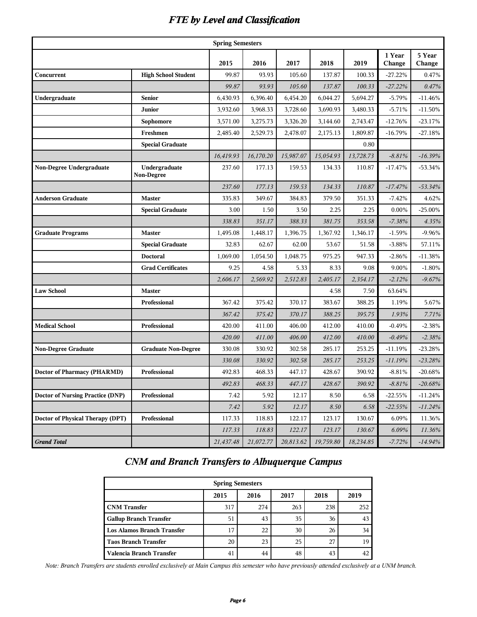#### *FTE by Level and Classification*

|                                         |                                    | <b>Spring Semesters</b> |           |           |           |           |                  |                  |
|-----------------------------------------|------------------------------------|-------------------------|-----------|-----------|-----------|-----------|------------------|------------------|
|                                         |                                    | 2015                    | 2016      | 2017      | 2018      | 2019      | 1 Year<br>Change | 5 Year<br>Change |
| Concurrent                              | <b>High School Student</b>         | 99.87                   | 93.93     | 105.60    | 137.87    | 100.33    | $-27.22%$        | 0.47%            |
|                                         |                                    | 99.87                   | 93.93     | 105.60    | 137.87    | 100.33    | $-27.22%$        | 0.47%            |
| Undergraduate                           | <b>Senior</b>                      | 6,430.93                | 6,396.40  | 6,454.20  | 6,044.27  | 5,694.27  | $-5.79%$         | $-11.46%$        |
|                                         | Junior                             | 3,932.60                | 3,968.33  | 3,728.60  | 3,690.93  | 3,480.33  | $-5.71%$         | $-11.50%$        |
|                                         | Sophomore                          | 3,571.00                | 3,275.73  | 3,326.20  | 3,144.60  | 2,743.47  | $-12.76%$        | $-23.17%$        |
|                                         | Freshmen                           | 2,485.40                | 2,529.73  | 2,478.07  | 2,175.13  | 1,809.87  | $-16.79%$        | $-27.18%$        |
|                                         | <b>Special Graduate</b>            |                         |           |           |           | 0.80      |                  |                  |
|                                         |                                    | 16,419.93               | 16,170.20 | 15,987.07 | 15,054.93 | 13,728.73 | $-8.81%$         | $-16.39%$        |
| Non-Degree Undergraduate                | Undergraduate<br><b>Non-Degree</b> | 237.60                  | 177.13    | 159.53    | 134.33    | 110.87    | $-17.47%$        | $-53.34%$        |
|                                         |                                    | 237.60                  | 177.13    | 159.53    | 134.33    | 110.87    | $-17.47%$        | $-53.34%$        |
| Anderson Graduate                       | <b>Master</b>                      | 335.83                  | 349.67    | 384.83    | 379.50    | 351.33    | $-7.42%$         | 4.62%            |
|                                         | <b>Special Graduate</b>            | 3.00                    | 1.50      | 3.50      | 2.25      | 2.25      | $0.00\%$         | $-25.00\%$       |
|                                         |                                    | 338.83                  | 351.17    | 388.33    | 381.75    | 353.58    | $-7.38%$         | 4.35%            |
| <b>Graduate Programs</b>                | <b>Master</b>                      | 1,495.08                | 1,448.17  | 1,396.75  | 1,367.92  | 1,346.17  | $-1.59%$         | $-9.96%$         |
|                                         | <b>Special Graduate</b>            | 32.83                   | 62.67     | 62.00     | 53.67     | 51.58     | $-3.88%$         | 57.11%           |
|                                         | <b>Doctoral</b>                    | 1,069.00                | 1,054.50  | 1,048.75  | 975.25    | 947.33    | $-2.86%$         | $-11.38%$        |
|                                         | <b>Grad Certificates</b>           | 9.25                    | 4.58      | 5.33      | 8.33      | 9.08      | 9.00%            | $-1.80%$         |
|                                         |                                    | 2,606.17                | 2,569.92  | 2,512.83  | 2,405.17  | 2,354.17  | $-2.12%$         | $-9.67%$         |
| <b>Law School</b>                       | <b>Master</b>                      |                         |           |           | 4.58      | 7.50      | 63.64%           |                  |
|                                         | Professional                       | 367.42                  | 375.42    | 370.17    | 383.67    | 388.25    | 1.19%            | 5.67%            |
|                                         |                                    | 367.42                  | 375.42    | 370.17    | 388.25    | 395.75    | 1.93%            | 7.71%            |
| <b>Medical School</b>                   | Professional                       | 420.00                  | 411.00    | 406.00    | 412.00    | 410.00    | $-0.49%$         | $-2.38%$         |
|                                         |                                    | 420.00                  | 411.00    | 406.00    | 412.00    | 410.00    | $-0.49%$         | $-2.38%$         |
| <b>Non-Degree Graduate</b>              | <b>Graduate Non-Degree</b>         | 330.08                  | 330.92    | 302.58    | 285.17    | 253.25    | $-11.19%$        | $-23.28%$        |
|                                         |                                    | 330.08                  | 330.92    | 302.58    | 285.17    | 253.25    | $-11.19%$        | $-23.28%$        |
| <b>Doctor of Pharmacy (PHARMD)</b>      | Professional                       | 492.83                  | 468.33    | 447.17    | 428.67    | 390.92    | $-8.81%$         | $-20.68%$        |
|                                         |                                    | 492.83                  | 468.33    | 447.17    | 428.67    | 390.92    | $-8.81%$         | $-20.68%$        |
| <b>Doctor of Nursing Practice (DNP)</b> | Professional                       | 7.42                    | 5.92      | 12.17     | 8.50      | 6.58      | $-22.55%$        | $-11.24%$        |
|                                         |                                    | 7.42                    | 5.92      | 12.17     | 8.50      | 6.58      | $-22.55%$        | $-11.24%$        |
| Doctor of Physical Therapy (DPT)        | Professional                       | 117.33                  | 118.83    | 122.17    | 123.17    | 130.67    | 6.09%            | 11.36%           |
|                                         |                                    | 117.33                  | 118.83    | 122.17    | 123.17    | 130.67    | 6.09%            | 11.36%           |
| <b>Grand Total</b>                      |                                    | 21,437.48               | 21,072.77 | 20,813.62 | 19,759.80 | 18,234.85 | $-7.72%$         | $-14.94%$        |

#### *CNM and Branch Transfers to Albuquerque Campus*

| <b>Spring Semesters</b>           |      |      |      |      |      |  |  |  |  |  |
|-----------------------------------|------|------|------|------|------|--|--|--|--|--|
|                                   | 2015 | 2016 | 2017 | 2018 | 2019 |  |  |  |  |  |
| <b>CNM</b> Transfer               | 317  | 274  | 263  | 238  | 252  |  |  |  |  |  |
| <b>Gallup Branch Transfer</b>     | 51   | 43   | 35   | 36   | 43   |  |  |  |  |  |
| <b>Los Alamos Branch Transfer</b> | 17   | 22   | 30   | 26   | 34   |  |  |  |  |  |
| <b>Taos Branch Transfer</b>       | 20   | 23   | 25   | 27   | 19   |  |  |  |  |  |
| Valencia Branch Transfer          | 41   | 44   | 48   | 43   | 42   |  |  |  |  |  |

 *Note: Branch Transfers are students enrolled exclusively at Main Campus this semester who have previously attended exclusively at a UNM branch.*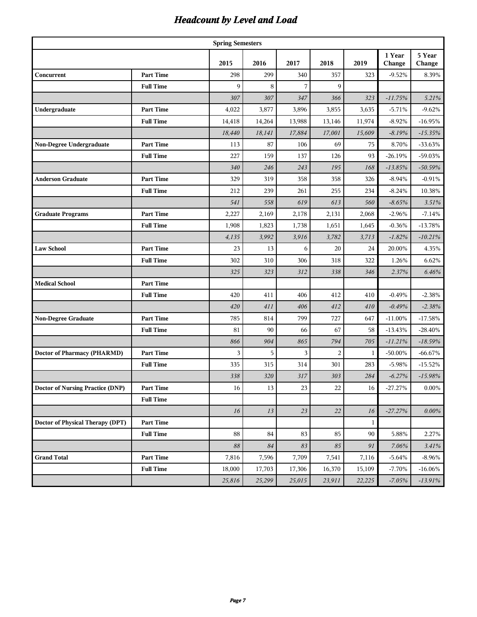# *Headcount by Level and Load*

|                                    |                  | <b>Spring Semesters</b> |          |        |                |                  |                  |                  |
|------------------------------------|------------------|-------------------------|----------|--------|----------------|------------------|------------------|------------------|
|                                    |                  | 2015                    | 2016     | 2017   | 2018           | 2019             | 1 Year<br>Change | 5 Year<br>Change |
| Concurrent                         | <b>Part Time</b> | 298                     | 299      | 340    | 357            | 323              | $-9.52%$         | 8.39%            |
|                                    | <b>Full Time</b> | 9                       | 8        | 7      | 9              |                  |                  |                  |
|                                    |                  | 307                     | 307      | 347    | 366            | 323              | $-11.75%$        | 5.21%            |
| Undergraduate                      | <b>Part Time</b> | 4,022                   | 3,877    | 3,896  | 3,855          | 3,635            | $-5.71%$         | $-9.62%$         |
|                                    | <b>Full Time</b> | 14,418                  | 14,264   | 13,988 | 13,146         | 11,974           | $-8.92%$         | $-16.95%$        |
|                                    |                  | 18,440                  | 18,141   | 17,884 | 17,001         | 15,609           | $-8.19%$         | $-15.35%$        |
| Non-Degree Undergraduate           | <b>Part Time</b> | 113                     | 87       | 106    | 69             | 75               | 8.70%            | $-33.63%$        |
|                                    | <b>Full Time</b> | 227                     | 159      | 137    | 126            | 93               | $-26.19%$        | -59.03%          |
|                                    |                  | 340                     | 246      | 243    | 195            | 168              | $-13.85%$        | $-50.59%$        |
| <b>Anderson Graduate</b>           | <b>Part Time</b> | 329                     | 319      | 358    | 358            | 326              | $-8.94%$         | $-0.91%$         |
|                                    | <b>Full Time</b> | 212                     | 239      | 261    | 255            | 234              | $-8.24%$         | 10.38%           |
|                                    |                  | 541                     | 558      | 619    | 613            | 560              | $-8.65%$         | 3.51%            |
| <b>Graduate Programs</b>           | <b>Part Time</b> | 2,227                   | 2,169    | 2,178  | 2,131          | 2,068            | $-2.96%$         | $-7.14%$         |
|                                    | <b>Full Time</b> | 1,908                   | 1,823    | 1,738  | 1,651          | 1,645            | $-0.36%$         | $-13.78%$        |
|                                    |                  | 4,135                   | 3,992    | 3,916  | 3,782          | 3,713            | $-1.82%$         | $-10.21%$        |
| <b>Law School</b>                  | <b>Part Time</b> | 23                      | 13       | 6      | 20             | 24               | 20.00%           | 4.35%            |
|                                    | <b>Full Time</b> | 302                     | 310      | 306    | 318            | 322              | 1.26%            | 6.62%            |
|                                    |                  | 325                     | 323      | 312    | 338            | 346              | 2.37%            | 6.46%            |
| <b>Medical School</b>              | <b>Part Time</b> |                         |          |        |                |                  |                  |                  |
|                                    | <b>Full Time</b> | 420                     | 411      | 406    | 412            | 410              | $-0.49%$         | $-2.38%$         |
|                                    |                  | 420                     | 411      | 406    | 412            | 410              | $-0.49%$         | $-2.38%$         |
| <b>Non-Degree Graduate</b>         | <b>Part Time</b> | 785                     | 814      | 799    | 727            | 647              | $-11.00\%$       | $-17.58%$        |
|                                    | <b>Full Time</b> | 81                      | 90       | 66     | 67             | 58               | $-13.43%$        | $-28.40%$        |
|                                    |                  | 866                     | 904      | 865    | 794            | 705              | $-11.21%$        | $-18.59%$        |
| <b>Doctor of Pharmacy (PHARMD)</b> | <b>Part Time</b> | 3                       | 5        | 3      | $\overline{2}$ | $\mathbf{1}$     | $-50.00\%$       | $-66.67%$        |
|                                    | <b>Full Time</b> | 335                     | 315      | 314    | 301            | 283              | $-5.98%$         | $-15.52%$        |
|                                    |                  | 338                     | 320      | 317    | 303            | 284              | -6.27%           | $-15.98%$        |
| Doctor of Nursing Practice (DNP)   | Part Time        | 16                      | 13       | 23     | 22             | 16               | $-27.27\%$       | $0.00\%$         |
|                                    | <b>Full Time</b> |                         |          |        |                |                  |                  |                  |
|                                    |                  | $16$                    | 13       | 23     | $22\,$         | 16               | $-27.27%$        | $0.00\%$         |
| Doctor of Physical Therapy (DPT)   | <b>Part Time</b> |                         |          |        |                | $\mathbf{1}$     |                  |                  |
|                                    | <b>Full Time</b> | 88                      | 84       | 83     | 85             | 90               | 5.88%            | 2.27%            |
|                                    |                  | 88                      | $\it 84$ | 83     | $85\,$         | $\mathfrak{g}_I$ | 7.06%            | 3.41%            |
| <b>Grand Total</b>                 | Part Time        | 7,816                   | 7,596    | 7,709  | 7,541          | 7,116            | $-5.64%$         | $-8.96\%$        |
|                                    | <b>Full Time</b> | 18,000                  | 17,703   | 17,306 | 16,370         | 15,109           | $-7.70%$         | $-16.06\%$       |
|                                    |                  | 25,816                  | 25,299   | 25,015 | 23,911         | 22,225           | $-7.05%$         | $-13.91%$        |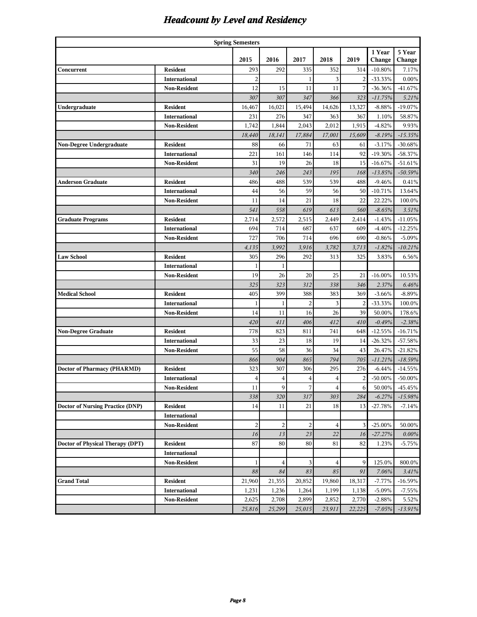# *Headcount by Level and Residency*

| <b>Spring Semesters</b>                 |                      |                |                |                         |                         |                |            |            |  |  |  |
|-----------------------------------------|----------------------|----------------|----------------|-------------------------|-------------------------|----------------|------------|------------|--|--|--|
|                                         |                      |                |                |                         |                         |                | 1 Year     | 5 Year     |  |  |  |
|                                         |                      | 2015           | 2016           | 2017                    | 2018                    | 2019           | Change     | Change     |  |  |  |
| Concurrent                              | <b>Resident</b>      | 293            | 292            | 335                     | 352                     | 314            | $-10.80\%$ | 7.17%      |  |  |  |
|                                         | <b>International</b> | $\overline{c}$ |                | 1                       | 3                       | $\overline{c}$ | $-33.33%$  | $0.00\%$   |  |  |  |
|                                         | <b>Non-Resident</b>  | 12             | 15             | 11                      | 11                      | 7              | $-36.36%$  | -41.67%    |  |  |  |
|                                         |                      | 307            | 307            | 347                     | 366                     | 323            | $-11.75%$  | 5.21%      |  |  |  |
| Undergraduate                           | <b>Resident</b>      | 16,467         | 16,021         | 15,494                  | 14,626                  | 13,327         | $-8.88%$   | $-19.07%$  |  |  |  |
|                                         | <b>International</b> | 231            | 276            | 347                     | 363                     | 367            | 1.10%      | 58.87%     |  |  |  |
|                                         | <b>Non-Resident</b>  | 1,742          | 1,844          | 2,043                   | 2,012                   | 1,915          | $-4.82%$   | 9.93%      |  |  |  |
|                                         |                      | 18,440         | 18,141         | 17,884                  | 17,001                  | 15,609         | $-8.19%$   | $-15.35%$  |  |  |  |
| Non-Degree Undergraduate                | <b>Resident</b>      | 88             | 66             | 71                      | 63                      | 61             | $-3.17%$   | $-30.68%$  |  |  |  |
|                                         | <b>International</b> | 221            | 161            | 146                     | 114                     | 92             | $-19.30%$  | $-58.37%$  |  |  |  |
|                                         | <b>Non-Resident</b>  | 31             | 19             | 26                      | 18                      | 15             | $-16.67%$  | $-51.61%$  |  |  |  |
|                                         |                      | 340            | 246            | 243                     | 195                     | 168            | $-13.85%$  | $-50.59%$  |  |  |  |
| <b>Anderson Graduate</b>                | <b>Resident</b>      | 486            | 488            | 539                     | 539                     | 488            | $-9.46%$   | 0.41%      |  |  |  |
|                                         | <b>International</b> | 44             | 56             | 59                      | 56                      | 50             | $-10.71%$  | 13.64%     |  |  |  |
|                                         | <b>Non-Resident</b>  | 11             | 14             | 21                      | 18                      | 22             | 22.22%     | 100.0%     |  |  |  |
|                                         |                      | 541            | 558            | 619                     | 613                     | 560            | $-8.65%$   | 3.51%      |  |  |  |
| <b>Graduate Programs</b>                | <b>Resident</b>      | 2,714          | 2,572          | 2,515                   | 2,449                   | 2,414          | $-1.43%$   | $-11.05%$  |  |  |  |
|                                         | <b>International</b> | 694            | 714            | 687                     | 637                     | 609            | $-4.40%$   | $-12.25%$  |  |  |  |
|                                         | <b>Non-Resident</b>  | 727            | 706            | 714                     | 696                     | 690            | $-0.86%$   | $-5.09%$   |  |  |  |
|                                         |                      | 4,135          | 3,992          | 3,916                   | 3,782                   | 3,713          | $-1.82%$   | $-10.21%$  |  |  |  |
| <b>Law School</b>                       | <b>Resident</b>      | 305            | 296            | 292                     | 313                     | 325            | 3.83%      | 6.56%      |  |  |  |
|                                         | <b>International</b> | 1              | $\mathbf{1}$   |                         |                         |                |            |            |  |  |  |
|                                         | <b>Non-Resident</b>  | 19             | 26             | 20                      | 25                      | 21             | $-16.00\%$ | 10.53%     |  |  |  |
|                                         |                      | 325            | 323            | 312                     | 338                     | 346            | 2.37%      | 6.46%      |  |  |  |
| <b>Medical School</b>                   | <b>Resident</b>      | 405            | 399            | 388                     | 383                     | 369            | $-3.66%$   | $-8.89%$   |  |  |  |
|                                         | <b>International</b> | 1              | 1              | $\overline{\mathbf{c}}$ | 3                       | $\overline{c}$ | $-33.33%$  | 100.0%     |  |  |  |
|                                         | <b>Non-Resident</b>  | 14             | 11             | 16                      | 26                      | 39             | 50.00%     | 178.6%     |  |  |  |
|                                         |                      | 420            | 411            | 406                     | 412                     | 410            | $-0.49%$   | $-2.38%$   |  |  |  |
| <b>Non-Degree Graduate</b>              | <b>Resident</b>      | 778            | 823            | 811                     | 741                     | 648            | $-12.55%$  | $-16.71%$  |  |  |  |
|                                         | <b>International</b> | 33             | 23             | 18                      | 19                      | 14             | $-26.32%$  | -57.58%    |  |  |  |
|                                         | <b>Non-Resident</b>  | 55             | 58             | 36                      | 34                      | 43             | 26.47%     | $-21.82%$  |  |  |  |
|                                         |                      | 866            | 904            | 865                     | 794                     | 705            | $-11.21%$  | $-18.59%$  |  |  |  |
| <b>Doctor of Pharmacy (PHARMD)</b>      | <b>Resident</b>      | 323            | 307            | 306                     | 295                     | 276            | $-6.44%$   | $-14.55%$  |  |  |  |
|                                         | <b>International</b> | 4              | 4              | 4                       | $\overline{4}$          | $\overline{c}$ | $-50.00\%$ | $-50.00\%$ |  |  |  |
|                                         | <b>Non-Resident</b>  | 11             | 9              | 7                       | $\overline{\mathbf{4}}$ | 6              | 50.00%     | -45.45%    |  |  |  |
|                                         |                      | 338            | 320            | 317                     | 303                     | 284            | $-6.27%$   | $-15.98%$  |  |  |  |
| <b>Doctor of Nursing Practice (DNP)</b> | Resident             | 14             | 11             | 21                      | 18                      | 13             | $-27.78%$  | $-7.14%$   |  |  |  |
|                                         | <b>International</b> |                |                |                         |                         |                |            |            |  |  |  |
|                                         | <b>Non-Resident</b>  | $\overline{c}$ | $\overline{c}$ | $\overline{\mathbf{c}}$ | 4                       | 3              | $-25.00\%$ | 50.00%     |  |  |  |
|                                         |                      | 16             | 13             | 23                      | $22\,$                  | 16             | $-27.27%$  | 0.00%      |  |  |  |
| Doctor of Physical Therapy (DPT)        | Resident             | 87             | 80             | 80                      | 81                      | 82             | 1.23%      | $-5.75%$   |  |  |  |
|                                         | <b>International</b> |                |                |                         |                         |                |            |            |  |  |  |
|                                         | <b>Non-Resident</b>  | $\mathbf{1}$   | $\overline{4}$ | 3                       | 4                       | 9              | 125.0%     | 800.0%     |  |  |  |
|                                         |                      | 88             | 84             | 83                      | 85                      | 91             | 7.06%      | 3.41%      |  |  |  |
| <b>Grand Total</b>                      | Resident             | 21,960         | 21,355         | 20,852                  | 19,860                  | 18,317         | $-7.77%$   | $-16.59%$  |  |  |  |
|                                         | <b>International</b> | 1,231          | 1,236          | 1,264                   | 1,199                   | 1,138          | $-5.09%$   | $-7.55%$   |  |  |  |
|                                         | Non-Resident         | 2,625          | 2,708          | 2,899                   | 2,852                   | 2,770          | $-2.88%$   | 5.52%      |  |  |  |
|                                         |                      | 25,816         | 25,299         | 25,015                  | 23,911                  | 22,225         | $-7.05%$   | $-13.91%$  |  |  |  |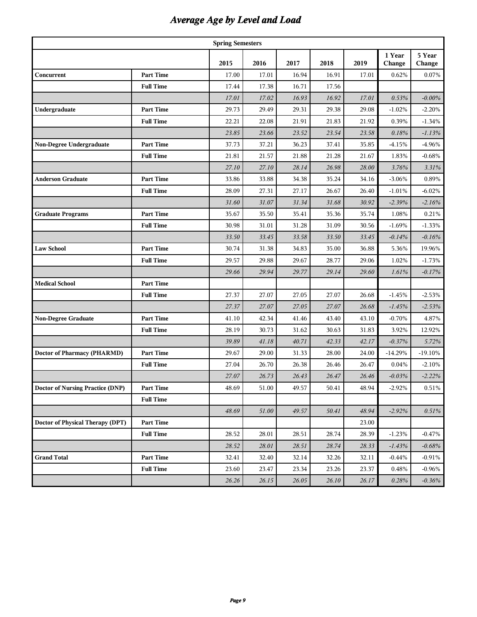# *Average Age by Level and Load*

| <b>Spring Semesters</b>            |                  |       |       |       |       |       |                  |                  |  |  |  |
|------------------------------------|------------------|-------|-------|-------|-------|-------|------------------|------------------|--|--|--|
|                                    |                  | 2015  | 2016  | 2017  | 2018  | 2019  | 1 Year<br>Change | 5 Year<br>Change |  |  |  |
| Concurrent                         | <b>Part Time</b> | 17.00 | 17.01 | 16.94 | 16.91 | 17.01 | 0.62%            | 0.07%            |  |  |  |
|                                    | <b>Full Time</b> | 17.44 | 17.38 | 16.71 | 17.56 |       |                  |                  |  |  |  |
|                                    |                  | 17.01 | 17.02 | 16.93 | 16.92 | 17.01 | 0.53%            | $-0.00\%$        |  |  |  |
| Undergraduate                      | <b>Part Time</b> | 29.73 | 29.49 | 29.31 | 29.38 | 29.08 | $-1.02%$         | $-2.20%$         |  |  |  |
|                                    | <b>Full Time</b> | 22.21 | 22.08 | 21.91 | 21.83 | 21.92 | 0.39%            | $-1.34%$         |  |  |  |
|                                    |                  | 23.85 | 23.66 | 23.52 | 23.54 | 23.58 | 0.18%            | $-1.13%$         |  |  |  |
| Non-Degree Undergraduate           | <b>Part Time</b> | 37.73 | 37.21 | 36.23 | 37.41 | 35.85 | $-4.15%$         | -4.96%           |  |  |  |
|                                    | <b>Full Time</b> | 21.81 | 21.57 | 21.88 | 21.28 | 21.67 | 1.83%            | $-0.68%$         |  |  |  |
|                                    |                  | 27.10 | 27.10 | 28.14 | 26.98 | 28.00 | 3.76%            | 3.31%            |  |  |  |
| <b>Anderson Graduate</b>           | <b>Part Time</b> | 33.86 | 33.88 | 34.38 | 35.24 | 34.16 | $-3.06%$         | 0.89%            |  |  |  |
|                                    | <b>Full Time</b> | 28.09 | 27.31 | 27.17 | 26.67 | 26.40 | $-1.01%$         | $-6.02%$         |  |  |  |
|                                    |                  | 31.60 | 31.07 | 31.34 | 31.68 | 30.92 | $-2.39%$         | $-2.16%$         |  |  |  |
| <b>Graduate Programs</b>           | <b>Part Time</b> | 35.67 | 35.50 | 35.41 | 35.36 | 35.74 | 1.08%            | 0.21%            |  |  |  |
|                                    | <b>Full Time</b> | 30.98 | 31.01 | 31.28 | 31.09 | 30.56 | $-1.69%$         | $-1.33%$         |  |  |  |
|                                    |                  | 33.50 | 33.45 | 33.58 | 33.50 | 33.45 | $-0.14%$         | $-0.16%$         |  |  |  |
| <b>Law School</b>                  | <b>Part Time</b> | 30.74 | 31.38 | 34.83 | 35.00 | 36.88 | 5.36%            | 19.96%           |  |  |  |
|                                    | <b>Full Time</b> | 29.57 | 29.88 | 29.67 | 28.77 | 29.06 | 1.02%            | $-1.73%$         |  |  |  |
|                                    |                  | 29.66 | 29.94 | 29.77 | 29.14 | 29.60 | 1.61%            | $-0.17%$         |  |  |  |
| <b>Medical School</b>              | <b>Part Time</b> |       |       |       |       |       |                  |                  |  |  |  |
|                                    | <b>Full Time</b> | 27.37 | 27.07 | 27.05 | 27.07 | 26.68 | $-1.45%$         | $-2.53%$         |  |  |  |
|                                    |                  | 27.37 | 27.07 | 27.05 | 27.07 | 26.68 | $-1.45%$         | $-2.53%$         |  |  |  |
| <b>Non-Degree Graduate</b>         | <b>Part Time</b> | 41.10 | 42.34 | 41.46 | 43.40 | 43.10 | $-0.70%$         | 4.87%            |  |  |  |
|                                    | <b>Full Time</b> | 28.19 | 30.73 | 31.62 | 30.63 | 31.83 | 3.92%            | 12.92%           |  |  |  |
|                                    |                  | 39.89 | 41.18 | 40.71 | 42.33 | 42.17 | $-0.37%$         | 5.72%            |  |  |  |
| <b>Doctor of Pharmacy (PHARMD)</b> | <b>Part Time</b> | 29.67 | 29.00 | 31.33 | 28.00 | 24.00 | $-14.29%$        | $-19.10%$        |  |  |  |
|                                    | <b>Full Time</b> | 27.04 | 26.70 | 26.38 | 26.46 | 26.47 | 0.04%            | $-2.10%$         |  |  |  |
|                                    |                  | 27.07 | 26.73 | 26.43 | 26.47 | 26.46 | $-0.03%$         | $-2.22%$         |  |  |  |
| Doctor of Nursing Practice (DNP)   | Part Time        | 48.69 | 51.00 | 49.57 | 50.41 | 48.94 | $-2.92\%$        | $0.51\%$         |  |  |  |
|                                    | <b>Full Time</b> |       |       |       |       |       |                  |                  |  |  |  |
|                                    |                  | 48.69 | 51.00 | 49.57 | 50.41 | 48.94 | $-2.92%$         | 0.51%            |  |  |  |
| Doctor of Physical Therapy (DPT)   | <b>Part Time</b> |       |       |       |       | 23.00 |                  |                  |  |  |  |
|                                    | <b>Full Time</b> | 28.52 | 28.01 | 28.51 | 28.74 | 28.39 | $-1.23%$         | $-0.47%$         |  |  |  |
|                                    |                  | 28.52 | 28.01 | 28.51 | 28.74 | 28.33 | $-1.43%$         | $-0.68%$         |  |  |  |
| <b>Grand Total</b>                 | <b>Part Time</b> | 32.41 | 32.40 | 32.14 | 32.26 | 32.11 | $-0.44%$         | $-0.91%$         |  |  |  |
|                                    | <b>Full Time</b> | 23.60 | 23.47 | 23.34 | 23.26 | 23.37 | 0.48%            | $-0.96%$         |  |  |  |
|                                    |                  | 26.26 | 26.15 | 26.05 | 26.10 | 26.17 | 0.28%            | $-0.36\%$        |  |  |  |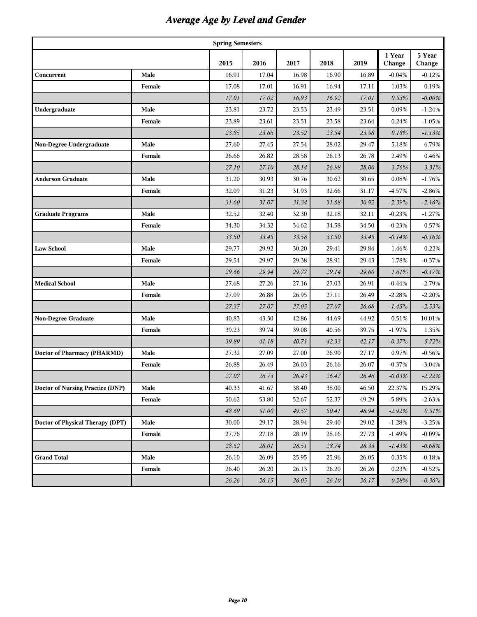# *Average Age by Level and Gender*

| <b>Spring Semesters</b>          |        |       |       |       |       |       |                  |                  |  |  |  |
|----------------------------------|--------|-------|-------|-------|-------|-------|------------------|------------------|--|--|--|
|                                  |        | 2015  | 2016  | 2017  | 2018  | 2019  | 1 Year<br>Change | 5 Year<br>Change |  |  |  |
| Concurrent                       | Male   | 16.91 | 17.04 | 16.98 | 16.90 | 16.89 | $-0.04%$         | $-0.12%$         |  |  |  |
|                                  | Female | 17.08 | 17.01 | 16.91 | 16.94 | 17.11 | 1.03%            | 0.19%            |  |  |  |
|                                  |        | 17.01 | 17.02 | 16.93 | 16.92 | 17.01 | 0.53%            | $-0.00\%$        |  |  |  |
| Undergraduate                    | Male   | 23.81 | 23.72 | 23.53 | 23.49 | 23.51 | 0.09%            | $-1.24%$         |  |  |  |
|                                  | Female | 23.89 | 23.61 | 23.51 | 23.58 | 23.64 | 0.24%            | $-1.05%$         |  |  |  |
|                                  |        | 23.85 | 23.66 | 23.52 | 23.54 | 23.58 | 0.18%            | $-1.13%$         |  |  |  |
| Non-Degree Undergraduate         | Male   | 27.60 | 27.45 | 27.54 | 28.02 | 29.47 | 5.18%            | 6.79%            |  |  |  |
|                                  | Female | 26.66 | 26.82 | 28.58 | 26.13 | 26.78 | 2.49%            | 0.46%            |  |  |  |
|                                  |        | 27.10 | 27.10 | 28.14 | 26.98 | 28.00 | 3.76%            | 3.31%            |  |  |  |
| <b>Anderson Graduate</b>         | Male   | 31.20 | 30.93 | 30.76 | 30.62 | 30.65 | 0.08%            | $-1.76%$         |  |  |  |
|                                  | Female | 32.09 | 31.23 | 31.93 | 32.66 | 31.17 | $-4.57%$         | $-2.86%$         |  |  |  |
|                                  |        | 31.60 | 31.07 | 31.34 | 31.68 | 30.92 | $-2.39%$         | $-2.16%$         |  |  |  |
| <b>Graduate Programs</b>         | Male   | 32.52 | 32.40 | 32.30 | 32.18 | 32.11 | $-0.23%$         | $-1.27%$         |  |  |  |
|                                  | Female | 34.30 | 34.32 | 34.62 | 34.58 | 34.50 | $-0.23%$         | 0.57%            |  |  |  |
|                                  |        | 33.50 | 33.45 | 33.58 | 33.50 | 33.45 | $-0.14%$         | $-0.16%$         |  |  |  |
| <b>Law School</b>                | Male   | 29.77 | 29.92 | 30.20 | 29.41 | 29.84 | 1.46%            | 0.22%            |  |  |  |
|                                  | Female | 29.54 | 29.97 | 29.38 | 28.91 | 29.43 | 1.78%            | $-0.37%$         |  |  |  |
|                                  |        | 29.66 | 29.94 | 29.77 | 29.14 | 29.60 | 1.61%            | $-0.17%$         |  |  |  |
| <b>Medical School</b>            | Male   | 27.68 | 27.26 | 27.16 | 27.03 | 26.91 | $-0.44%$         | $-2.79%$         |  |  |  |
|                                  | Female | 27.09 | 26.88 | 26.95 | 27.11 | 26.49 | $-2.28%$         | $-2.20%$         |  |  |  |
|                                  |        | 27.37 | 27.07 | 27.05 | 27.07 | 26.68 | $-1.45%$         | $-2.53%$         |  |  |  |
| <b>Non-Degree Graduate</b>       | Male   | 40.83 | 43.30 | 42.86 | 44.69 | 44.92 | 0.51%            | 10.01%           |  |  |  |
|                                  | Female | 39.23 | 39.74 | 39.08 | 40.56 | 39.75 | $-1.97%$         | 1.35%            |  |  |  |
|                                  |        | 39.89 | 41.18 | 40.71 | 42.33 | 42.17 | $-0.37%$         | 5.72%            |  |  |  |
| Doctor of Pharmacy (PHARMD)      | Male   | 27.32 | 27.09 | 27.00 | 26.90 | 27.17 | 0.97%            | $-0.56%$         |  |  |  |
|                                  | Female | 26.88 | 26.49 | 26.03 | 26.16 | 26.07 | $-0.37%$         | $-3.04%$         |  |  |  |
|                                  |        | 27.07 | 26.73 | 26.43 | 26.47 | 26.46 | $-0.03%$         | $-2.22%$         |  |  |  |
| Doctor of Nursing Practice (DNP) | Male   | 40.33 | 41.67 | 38.40 | 38.00 | 46.50 | 22.37%           | 15.29%           |  |  |  |
|                                  | Female | 50.62 | 53.80 | 52.67 | 52.37 | 49.29 | $-5.89%$         | $-2.63%$         |  |  |  |
|                                  |        | 48.69 | 51.00 | 49.57 | 50.41 | 48.94 | $-2.92%$         | 0.51%            |  |  |  |
| Doctor of Physical Therapy (DPT) | Male   | 30.00 | 29.17 | 28.94 | 29.40 | 29.02 | $-1.28%$         | $-3.25%$         |  |  |  |
|                                  | Female | 27.76 | 27.18 | 28.19 | 28.16 | 27.73 | $-1.49%$         | $-0.09\%$        |  |  |  |
|                                  |        | 28.52 | 28.01 | 28.51 | 28.74 | 28.33 | $-1.43%$         | $-0.68%$         |  |  |  |
| <b>Grand Total</b>               | Male   | 26.10 | 26.09 | 25.95 | 25.96 | 26.05 | 0.35%            | $-0.18\%$        |  |  |  |
|                                  | Female | 26.40 | 26.20 | 26.13 | 26.20 | 26.26 | 0.23%            | $-0.52%$         |  |  |  |
|                                  |        | 26.26 | 26.15 | 26.05 | 26.10 | 26.17 | 0.28%            | $-0.36%$         |  |  |  |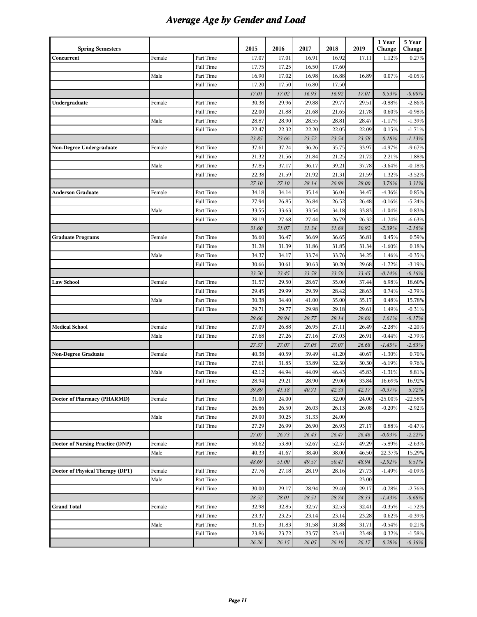# *Average Age by Gender and Load*

| <b>Spring Semesters</b>          |        |           | 2015  | 2016  | 2017  | 2018  | 2019  | 1 Year<br>Change | 5 Year<br>Change |
|----------------------------------|--------|-----------|-------|-------|-------|-------|-------|------------------|------------------|
| Concurrent                       | Female | Part Time | 17.07 | 17.01 | 16.91 | 16.92 | 17.11 | 1.12%            | 0.27%            |
|                                  |        | Full Time | 17.75 | 17.25 | 16.50 | 17.60 |       |                  |                  |
|                                  | Male   | Part Time | 16.90 | 17.02 | 16.98 | 16.88 | 16.89 | 0.07%            | $-0.05%$         |
|                                  |        | Full Time | 17.20 | 17.50 | 16.80 | 17.50 |       |                  |                  |
|                                  |        |           | 17.01 | 17.02 | 16.93 | 16.92 | 17.01 | 0.53%            | $-0.00\%$        |
| Undergraduate                    | Female | Part Time | 30.38 | 29.96 | 29.88 | 29.77 | 29.51 | $-0.88%$         | $-2.86%$         |
|                                  |        | Full Time | 22.00 | 21.88 | 21.68 | 21.65 | 21.78 | 0.60%            | $-0.98%$         |
|                                  | Male   | Part Time | 28.87 | 28.90 | 28.55 | 28.81 | 28.47 | $-1.17%$         | $-1.39%$         |
|                                  |        | Full Time | 22.47 | 22.32 | 22.20 | 22.05 | 22.09 | 0.15%            | $-1.71%$         |
|                                  |        |           | 23.85 | 23.66 | 23.52 | 23.54 | 23.58 | 0.18%            | $-1.13%$         |
| Non-Degree Undergraduate         | Female | Part Time | 37.61 | 37.24 | 36.26 | 35.75 | 33.97 | $-4.97%$         | $-9.67%$         |
|                                  |        | Full Time | 21.32 | 21.56 | 21.84 | 21.25 | 21.72 | 2.21%            | 1.88%            |
|                                  | Male   | Part Time | 37.85 | 37.17 | 36.17 | 39.21 | 37.78 | $-3.64%$         | $-0.18%$         |
|                                  |        | Full Time | 22.38 | 21.59 | 21.92 | 21.31 | 21.59 | 1.32%            | $-3.52%$         |
|                                  |        |           | 27.10 | 27.10 | 28.14 | 26.98 | 28.00 | 3.76%            | 3.31%            |
| <b>Anderson Graduate</b>         | Female | Part Time | 34.18 | 34.14 | 35.14 | 36.04 | 34.47 | $-4.36%$         | 0.85%            |
|                                  |        | Full Time | 27.94 | 26.85 | 26.84 | 26.52 | 26.48 | $-0.16%$         | $-5.24%$         |
|                                  | Male   | Part Time | 33.55 | 33.63 | 33.54 | 34.18 | 33.83 | $-1.04%$         | 0.83%            |
|                                  |        | Full Time | 28.19 | 27.68 | 27.44 | 26.79 | 26.32 | $-1.74%$         | $-6.63%$         |
|                                  |        |           | 31.60 | 31.07 | 31.34 | 31.68 | 30.92 | $-2.39%$         | $-2.16%$         |
| <b>Graduate Programs</b>         | Female | Part Time | 36.60 | 36.47 | 36.69 | 36.65 | 36.81 | 0.45%            | 0.59%            |
|                                  |        | Full Time | 31.28 | 31.39 | 31.86 | 31.85 | 31.34 | $-1.60\%$        | 0.18%            |
|                                  | Male   | Part Time | 34.37 | 34.17 | 33.74 | 33.76 | 34.25 | 1.46%            | $-0.35%$         |
|                                  |        | Full Time | 30.66 | 30.61 | 30.63 | 30.20 | 29.68 | $-1.72%$         | $-3.19%$         |
|                                  |        |           | 33.50 | 33.45 | 33.58 | 33.50 | 33.45 | $-0.14%$         | $-0.16%$         |
| <b>Law School</b>                | Female | Part Time | 31.57 | 29.50 | 28.67 | 35.00 | 37.44 | 6.98%            | 18.60%           |
|                                  |        | Full Time | 29.45 | 29.99 | 29.39 | 28.42 | 28.63 | 0.74%            | $-2.79%$         |
|                                  | Male   | Part Time | 30.38 | 34.40 | 41.00 | 35.00 | 35.17 | 0.48%            | 15.78%           |
|                                  |        | Full Time | 29.71 | 29.77 | 29.98 | 29.18 | 29.61 | 1.49%            | $-0.31%$         |
|                                  |        |           | 29.66 | 29.94 | 29.77 | 29.14 | 29.60 | 1.61%            | $-0.17%$         |
| <b>Medical School</b>            | Female | Full Time | 27.09 | 26.88 | 26.95 | 27.11 | 26.49 | $-2.28%$         | $-2.20%$         |
|                                  | Male   | Full Time | 27.68 | 27.26 | 27.16 | 27.03 | 26.91 | $-0.44%$         | $-2.79%$         |
|                                  |        |           | 27.37 | 27.07 | 27.05 | 27.07 | 26.68 | $-1.45%$         | $-2.53%$         |
| <b>Non-Degree Graduate</b>       | Female | Part Time | 40.38 | 40.59 | 39.49 | 41.20 | 40.67 | $-1.30%$         | 0.70%            |
|                                  |        | Full Time | 27.61 | 31.85 | 33.89 | 32.30 | 30.30 | $-6.19%$         | 9.76%            |
|                                  | Male   | Part Time | 42.12 | 44.94 | 44.09 | 46.43 | 45.83 | $-1.31%$         | 8.81%            |
|                                  |        | Full Time | 28.94 | 29.21 | 28.90 | 29.00 | 33.84 | 16.69%           | 16.92%           |
|                                  |        |           | 39.89 | 41.18 | 40.71 | 42.33 | 42.17 | $-0.37%$         | 5.72%            |
| Doctor of Pharmacy (PHARMD)      | Female | Part Time | 31.00 | 24.00 |       | 32.00 | 24.00 | $-25.00\%$       | $-22.58%$        |
|                                  |        | Full Time | 26.86 | 26.50 | 26.03 | 26.13 | 26.08 | $-0.20%$         | $-2.92%$         |
|                                  | Male   | Part Time | 29.00 | 30.25 | 31.33 | 24.00 |       |                  |                  |
|                                  |        | Full Time | 27.29 | 26.99 | 26.90 | 26.93 | 27.17 | 0.88%            | $-0.47%$         |
|                                  |        |           | 27.07 | 26.73 | 26.43 | 26.47 | 26.46 | $-0.03%$         | $-2.22%$         |
| Doctor of Nursing Practice (DNP) | Female | Part Time | 50.62 | 53.80 | 52.67 | 52.37 | 49.29 | $-5.89%$         | $-2.63%$         |
|                                  | Male   | Part Time | 40.33 | 41.67 | 38.40 | 38.00 | 46.50 | 22.37%           | 15.29%           |
|                                  |        |           | 48.69 | 51.00 | 49.57 | 50.41 | 48.94 | $-2.92%$         | 0.51%            |
| Doctor of Physical Therapy (DPT) | Female | Full Time | 27.76 | 27.18 | 28.19 | 28.16 | 27.73 | $-1.49%$         | $-0.09%$         |
|                                  | Male   | Part Time |       |       |       |       | 23.00 |                  |                  |
|                                  |        | Full Time | 30.00 | 29.17 | 28.94 | 29.40 | 29.17 | $-0.78%$         | $-2.76%$         |
|                                  |        |           | 28.52 | 28.01 | 28.51 | 28.74 | 28.33 | $-1.43%$         | $-0.68\%$        |
| <b>Grand Total</b>               | Female | Part Time | 32.98 | 32.85 | 32.57 | 32.53 | 32.41 | $-0.35%$         | $-1.72%$         |
|                                  |        | Full Time | 23.37 | 23.25 | 23.14 | 23.14 | 23.28 | 0.62%            | $-0.39%$         |
|                                  | Male   | Part Time | 31.65 | 31.83 | 31.58 | 31.88 | 31.71 | $-0.54\%$        | 0.21%            |
|                                  |        | Full Time | 23.86 | 23.72 | 23.57 | 23.41 | 23.48 | 0.32%            | $-1.58%$         |
|                                  |        |           | 26.26 | 26.15 | 26.05 | 26.10 | 26.17 | 0.28%            | $-0.36%$         |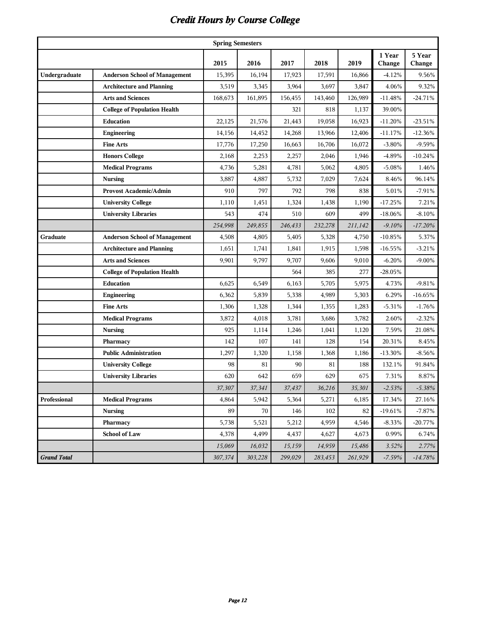| <b>Spring Semesters</b> |                                      |         |         |         |         |         |                  |                  |  |  |  |
|-------------------------|--------------------------------------|---------|---------|---------|---------|---------|------------------|------------------|--|--|--|
|                         |                                      | 2015    | 2016    | 2017    | 2018    | 2019    | 1 Year<br>Change | 5 Year<br>Change |  |  |  |
| Undergraduate           | <b>Anderson School of Management</b> | 15,395  | 16,194  | 17,923  | 17,591  | 16,866  | $-4.12%$         | 9.56%            |  |  |  |
|                         | <b>Architecture and Planning</b>     | 3,519   | 3,345   | 3,964   | 3,697   | 3,847   | 4.06%            | 9.32%            |  |  |  |
|                         | <b>Arts and Sciences</b>             | 168,673 | 161,895 | 156,455 | 143,460 | 126,989 | $-11.48%$        | $-24.71\%$       |  |  |  |
|                         | <b>College of Population Health</b>  |         |         | 321     | 818     | 1,137   | 39.00%           |                  |  |  |  |
|                         | <b>Education</b>                     | 22,125  | 21,576  | 21,443  | 19.058  | 16,923  | $-11.20%$        | $-23.51%$        |  |  |  |
|                         | Engineering                          | 14,156  | 14,452  | 14,268  | 13,966  | 12,406  | $-11.17%$        | $-12.36%$        |  |  |  |
|                         | <b>Fine Arts</b>                     | 17,776  | 17,250  | 16,663  | 16,706  | 16,072  | $-3.80%$         | $-9.59%$         |  |  |  |
|                         | <b>Honors College</b>                | 2,168   | 2,253   | 2,257   | 2,046   | 1,946   | -4.89%           | $-10.24%$        |  |  |  |
|                         | <b>Medical Programs</b>              | 4,736   | 5,281   | 4,781   | 5,062   | 4,805   | $-5.08%$         | 1.46%            |  |  |  |
|                         | <b>Nursing</b>                       | 3,887   | 4,887   | 5,732   | 7,029   | 7,624   | 8.46%            | 96.14%           |  |  |  |
|                         | <b>Provost Academic/Admin</b>        | 910     | 797     | 792     | 798     | 838     | 5.01%            | $-7.91%$         |  |  |  |
|                         | <b>University College</b>            | 1,110   | 1,451   | 1,324   | 1,438   | 1,190   | $-17.25%$        | 7.21%            |  |  |  |
|                         | <b>University Libraries</b>          | 543     | 474     | 510     | 609     | 499     | $-18.06%$        | $-8.10%$         |  |  |  |
|                         |                                      | 254,998 | 249,855 | 246,433 | 232,278 | 211,142 | $-9.10%$         | $-17.20%$        |  |  |  |
| Graduate                | <b>Anderson School of Management</b> | 4,508   | 4,805   | 5,405   | 5,328   | 4,750   | $-10.85%$        | 5.37%            |  |  |  |
|                         | <b>Architecture and Planning</b>     | 1,651   | 1,741   | 1,841   | 1,915   | 1,598   | $-16.55%$        | $-3.21%$         |  |  |  |
|                         | <b>Arts and Sciences</b>             | 9,901   | 9,797   | 9,707   | 9,606   | 9,010   | $-6.20%$         | $-9.00\%$        |  |  |  |
|                         | <b>College of Population Health</b>  |         |         | 564     | 385     | 277     | $-28.05%$        |                  |  |  |  |
|                         | <b>Education</b>                     | 6,625   | 6,549   | 6,163   | 5,705   | 5,975   | 4.73%            | $-9.81%$         |  |  |  |
|                         | Engineering                          | 6,362   | 5,839   | 5,338   | 4,989   | 5,303   | 6.29%            | $-16.65%$        |  |  |  |
|                         | <b>Fine Arts</b>                     | 1,306   | 1,328   | 1,344   | 1,355   | 1,283   | $-5.31%$         | $-1.76%$         |  |  |  |
|                         | <b>Medical Programs</b>              | 3,872   | 4,018   | 3,781   | 3,686   | 3,782   | 2.60%            | $-2.32%$         |  |  |  |
|                         | <b>Nursing</b>                       | 925     | 1,114   | 1,246   | 1,041   | 1,120   | 7.59%            | 21.08%           |  |  |  |
|                         | Pharmacy                             | 142     | 107     | 141     | 128     | 154     | 20.31%           | 8.45%            |  |  |  |
|                         | <b>Public Administration</b>         | 1,297   | 1,320   | 1,158   | 1,368   | 1,186   | $-13.30%$        | $-8.56%$         |  |  |  |
|                         | <b>University College</b>            | 98      | 81      | 90      | 81      | 188     | 132.1%           | 91.84%           |  |  |  |
|                         | <b>University Libraries</b>          | 620     | 642     | 659     | 629     | 675     | 7.31%            | 8.87%            |  |  |  |
|                         |                                      | 37,307  | 37,341  | 37,437  | 36,216  | 35,301  | $-2.53%$         | $-5.38%$         |  |  |  |
| Professional            | <b>Medical Programs</b>              | 4,864   | 5,942   | 5,364   | 5,271   | 6,185   | 17.34%           | 27.16%           |  |  |  |
|                         | <b>Nursing</b>                       | 89      | 70      | 146     | 102     | 82      | $-19.61%$        | $-7.87%$         |  |  |  |
|                         | Pharmacy                             | 5,738   | 5,521   | 5,212   | 4,959   | 4,546   | $-8.33%$         | $-20.77\%$       |  |  |  |
|                         | <b>School of Law</b>                 | 4,378   | 4,499   | 4,437   | 4,627   | 4,673   | 0.99%            | 6.74%            |  |  |  |
|                         |                                      | 15,069  | 16,032  | 15,159  | 14,959  | 15,486  | 3.52%            | 2.77%            |  |  |  |
| <b>Grand Total</b>      |                                      | 307,374 | 303,228 | 299,029 | 283,453 | 261,929 | $-7.59%$         | $-14.78%$        |  |  |  |

# *Credit Hours by Course College*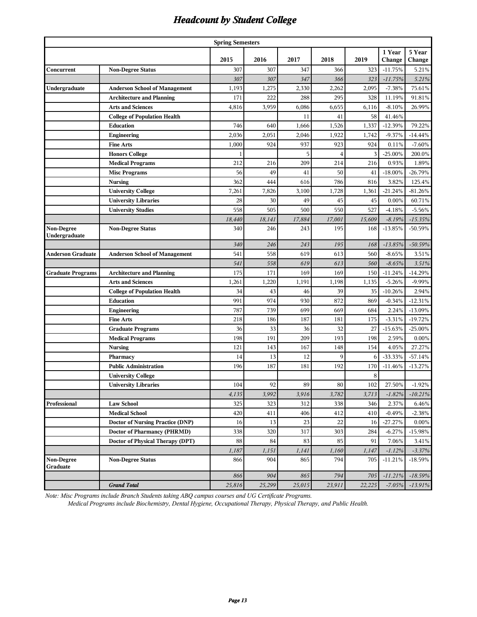#### *Headcount by Student College*

| <b>Spring Semesters</b>     |                                      |        |        |        |        |         |                  |                  |  |  |  |
|-----------------------------|--------------------------------------|--------|--------|--------|--------|---------|------------------|------------------|--|--|--|
|                             |                                      | 2015   | 2016   | 2017   | 2018   | 2019    | 1 Year<br>Change | 5 Year<br>Change |  |  |  |
| Concurrent                  | <b>Non-Degree Status</b>             | 307    | 307    | 347    | 366    | 323     | $-11.75%$        | 5.21%            |  |  |  |
|                             |                                      | 307    | 307    | 347    | 366    | 323     | $-11.75%$        | 5.21%            |  |  |  |
| Undergraduate               | <b>Anderson School of Management</b> | 1,193  | 1,275  | 2,330  | 2,262  | 2,095   | $-7.38%$         | 75.61%           |  |  |  |
|                             | <b>Architecture and Planning</b>     | 171    | 222    | 288    | 295    | 328     | 11.19%           | 91.81%           |  |  |  |
|                             | <b>Arts and Sciences</b>             | 4,816  | 3,959  | 6,086  | 6,655  | 6,116   | $-8.10%$         | 26.99%           |  |  |  |
|                             | <b>College of Population Health</b>  |        |        | 11     | 41     | 58      | 41.46%           |                  |  |  |  |
|                             | Education                            | 746    | 640    | 1,666  | 1,526  | 1,337   | $-12.39%$        | 79.22%           |  |  |  |
|                             | Engineering                          | 2,036  | 2,051  | 2,046  | 1,922  | 1,742   | $-9.37%$         | $-14.44%$        |  |  |  |
|                             | <b>Fine Arts</b>                     | 1,000  | 924    | 937    | 923    | 924     | 0.11%            | $-7.60%$         |  |  |  |
|                             | <b>Honors College</b>                |        |        | 5      | 4      | 3       | $-25.00%$        | 200.0%           |  |  |  |
|                             | <b>Medical Programs</b>              | 212    | 216    | 209    | 214    | 216     | 0.93%            | 1.89%            |  |  |  |
|                             | <b>Misc Programs</b>                 | 56     | 49     | 41     | 50     | 41      | $-18.00\%$       | $-26.79%$        |  |  |  |
|                             | <b>Nursing</b>                       | 362    | 444    | 616    | 786    | 816     | 3.82%            | 125.4%           |  |  |  |
|                             | <b>University College</b>            | 7,261  | 7,826  | 3,100  | 1,728  | 1,361   | $-21.24%$        | $-81.26%$        |  |  |  |
|                             | <b>University Libraries</b>          | 28     | 30     | 49     | 45     | 45      | 0.00%            | 60.71%           |  |  |  |
|                             | <b>University Studies</b>            | 558    | 505    | 500    | 550    | 527     | $-4.18%$         | $-5.56%$         |  |  |  |
|                             |                                      | 18,440 | 18,141 | 17,884 | 17,001 | 15,609  | $-8.19%$         | $-15.35%$        |  |  |  |
| Non-Degree<br>Undergraduate | <b>Non-Degree Status</b>             | 340    | 246    | 243    | 195    | 168     | $-13.85%$        | -50.59%          |  |  |  |
|                             |                                      | 340    | 246    | 243    | 195    | 168     | $-13.85%$        | $-50.59%$        |  |  |  |
| Anderson Graduate           | <b>Anderson School of Management</b> | 541    | 558    | 619    | 613    | 560     | $-8.65%$         | 3.51%            |  |  |  |
|                             |                                      | 541    | 558    | 619    | 613    | 560     | $-8.65%$         | 3.51%            |  |  |  |
| Graduate Programs           | <b>Architecture and Planning</b>     | 175    | 171    | 169    | 169    | 150     | $-11.24%$        | $-14.29%$        |  |  |  |
|                             | <b>Arts and Sciences</b>             | 1,261  | 1,220  | 1,191  | 1,198  | 1,135   | $-5.26%$         | $-9.99%$         |  |  |  |
|                             | <b>College of Population Health</b>  | 34     | 43     | 46     | 39     | 35      | $-10.26%$        | 2.94%            |  |  |  |
|                             | Education                            | 991    | 974    | 930    | 872    | 869     | $-0.34%$         | $-12.31%$        |  |  |  |
|                             | <b>Engineering</b>                   | 787    | 739    | 699    | 669    | 684     | 2.24%            | $-13.09%$        |  |  |  |
|                             | <b>Fine Arts</b>                     | 218    | 186    | 187    | 181    | 175     | $-3.31%$         | $-19.72%$        |  |  |  |
|                             | <b>Graduate Programs</b>             | 36     | 33     | 36     | 32     | 27      | $-15.63%$        | $-25.00%$        |  |  |  |
|                             | <b>Medical Programs</b>              | 198    | 191    | 209    | 193    | 198     | 2.59%            | 0.00%            |  |  |  |
|                             | <b>Nursing</b>                       | 121    | 143    | 167    | 148    | 154     | 4.05%            | 27.27%           |  |  |  |
|                             | Pharmacy                             | 14     | 13     | 12     | 9      | 6       | $-33.33%$        | $-57.14%$        |  |  |  |
|                             | <b>Public Administration</b>         | 196    | 187    | 181    | 192    | 170     | $-11.46%$        | $-13.27%$        |  |  |  |
|                             | <b>University College</b>            |        |        |        |        | 8       |                  |                  |  |  |  |
|                             | <b>University Libraries</b>          | 104    | 92     | 89     | 80     | $102\,$ | 27.50%           | $-1.92%$         |  |  |  |
|                             |                                      | 4,135  | 3,992  | 3,916  | 3,782  | 3,713   | $-1.82%$         | $-10.21%$        |  |  |  |
| Professional                | <b>Law School</b>                    | 325    | 323    | 312    | 338    | 346     | 2.37%            | 6.46%            |  |  |  |
|                             | <b>Medical School</b>                | 420    | 411    | 406    | 412    | 410     | $-0.49%$         | $-2.38%$         |  |  |  |
|                             | Doctor of Nursing Practice (DNP)     | 16     | 13     | 23     | 22     | 16      | $-27.27%$        | $0.00\%$         |  |  |  |
|                             | Doctor of Pharmancy (PHRMD)          | 338    | 320    | 317    | 303    | 284     | $-6.27%$         | $-15.98%$        |  |  |  |
|                             | Doctor of Physical Therapy (DPT)     | 88     | 84     | 83     | 85     | 91      | 7.06%            | 3.41%            |  |  |  |
|                             |                                      | 1,187  | 1,151  | 1,141  | 1,160  | 1,147   | $-1.12%$         | $-3.37%$         |  |  |  |
| Non-Degree<br>Graduate      | <b>Non-Degree Status</b>             | 866    | 904    | 865    | 794    | 705     | $-11.21%$        | $-18.59%$        |  |  |  |
|                             |                                      | 866    | 904    | 865    | 794    | 705     | $-11.21%$        | $-18.59%$        |  |  |  |
|                             | <b>Grand Total</b>                   | 25,816 | 25,299 | 25,015 | 23,911 | 22,225  | $-7.05%$         | $-13.91%$        |  |  |  |

 *Note: Misc Programs include Branch Students taking ABQ campus courses and UG Certificate Programs.*

 *Medical Programs include Biochemistry, Dental Hygiene, Occupational Therapy, Physical Therapy, and Public Health.*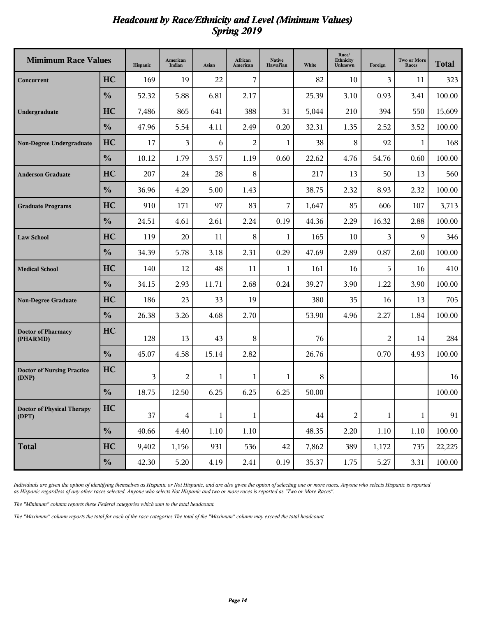#### *Headcount by Race/Ethnicity and Level (Minimum Values) Spring 2019*

| <b>Mimimum Race Values</b>                 |               | Hispanic | American<br>Indian | Asian | African<br>American | <b>Native</b><br>Hawai'ian | White | Race/<br>Ethnicity<br>Unknown | Foreign        | <b>Two or More</b><br>Races | <b>Total</b> |
|--------------------------------------------|---------------|----------|--------------------|-------|---------------------|----------------------------|-------|-------------------------------|----------------|-----------------------------|--------------|
| Concurrent                                 | HC            | 169      | 19                 | 22    | 7                   |                            | 82    | 10                            | 3              | 11                          | 323          |
|                                            | $\frac{0}{0}$ | 52.32    | 5.88               | 6.81  | 2.17                |                            | 25.39 | 3.10                          | 0.93           | 3.41                        | 100.00       |
| Undergraduate                              | HC            | 7,486    | 865                | 641   | 388                 | 31                         | 5,044 | 210                           | 394            | 550                         | 15,609       |
|                                            | $\frac{0}{0}$ | 47.96    | 5.54               | 4.11  | 2.49                | 0.20                       | 32.31 | 1.35                          | 2.52           | 3.52                        | 100.00       |
| <b>Non-Degree Undergraduate</b>            | HC            | 17       | 3                  | 6     | $\overline{2}$      | 1                          | 38    | 8                             | 92             | 1                           | 168          |
|                                            | $\frac{0}{0}$ | 10.12    | 1.79               | 3.57  | 1.19                | 0.60                       | 22.62 | 4.76                          | 54.76          | 0.60                        | 100.00       |
| <b>Anderson Graduate</b>                   | HC            | 207      | 24                 | 28    | 8                   |                            | 217   | 13                            | 50             | 13                          | 560          |
|                                            | $\frac{0}{0}$ | 36.96    | 4.29               | 5.00  | 1.43                |                            | 38.75 | 2.32                          | 8.93           | 2.32                        | 100.00       |
| <b>Graduate Programs</b>                   | HC            | 910      | 171                | 97    | 83                  | 7                          | 1,647 | 85                            | 606            | 107                         | 3,713        |
|                                            | $\frac{0}{0}$ | 24.51    | 4.61               | 2.61  | 2.24                | 0.19                       | 44.36 | 2.29                          | 16.32          | 2.88                        | 100.00       |
| <b>Law School</b>                          | HC            | 119      | 20                 | 11    | 8                   | 1                          | 165   | 10                            | 3              | 9                           | 346          |
|                                            | $\frac{0}{0}$ | 34.39    | 5.78               | 3.18  | 2.31                | 0.29                       | 47.69 | 2.89                          | 0.87           | 2.60                        | 100.00       |
| <b>Medical School</b>                      | HC            | 140      | 12                 | 48    | 11                  | 1                          | 161   | 16                            | 5              | 16                          | 410          |
|                                            | $\frac{0}{0}$ | 34.15    | 2.93               | 11.71 | 2.68                | 0.24                       | 39.27 | 3.90                          | 1.22           | 3.90                        | 100.00       |
| <b>Non-Degree Graduate</b>                 | HC            | 186      | 23                 | 33    | 19                  |                            | 380   | 35                            | 16             | 13                          | 705          |
|                                            | $\frac{0}{0}$ | 26.38    | 3.26               | 4.68  | 2.70                |                            | 53.90 | 4.96                          | 2.27           | 1.84                        | 100.00       |
| <b>Doctor of Pharmacy</b><br>(PHARMD)      | HC            | 128      | 13                 | 43    | 8                   |                            | 76    |                               | $\overline{2}$ | 14                          | 284          |
|                                            | $\frac{0}{0}$ | 45.07    | 4.58               | 15.14 | 2.82                |                            | 26.76 |                               | 0.70           | 4.93                        | 100.00       |
| <b>Doctor of Nursing Practice</b><br>(DNP) | HC            | 3        | $\mathbf{2}$       | 1     | 1                   | 1                          | 8     |                               |                |                             | 16           |
|                                            | $\frac{0}{0}$ | 18.75    | 12.50              | 6.25  | 6.25                | 6.25                       | 50.00 |                               |                |                             | 100.00       |
| <b>Doctor of Physical Therapy</b><br>(DPT) | HC            | 37       | $\overline{4}$     | 1     | 1                   |                            | 44    | $\overline{c}$                | 1              | $\mathbf{1}$                | 91           |
|                                            | $\frac{0}{0}$ | 40.66    | 4.40               | 1.10  | $1.10\,$            |                            | 48.35 | 2.20                          | 1.10           | 1.10                        | $100.00\,$   |
| <b>Total</b>                               | HC            | 9,402    | 1,156              | 931   | 536                 | 42                         | 7,862 | 389                           | 1,172          | 735                         | 22,225       |
|                                            | $\frac{0}{0}$ | 42.30    | 5.20               | 4.19  | 2.41                | 0.19                       | 35.37 | 1.75                          | 5.27           | 3.31                        | 100.00       |

*Individuals are given the option of identifying themselves as Hispanic or Not Hispanic, and are also given the option of selecting one or more races. Anyone who selects Hispanic is reported as Hispanic regardless of any other races selected. Anyone who selects Not Hispanic and two or more races is reported as "Two or More Races".*

*The "Minimum" column reports these Federal categories which sum to the total headcount.*

*The "Maximum" column reports the total for each of the race categories.The total of the "Maximum" column may exceed the total headcount.*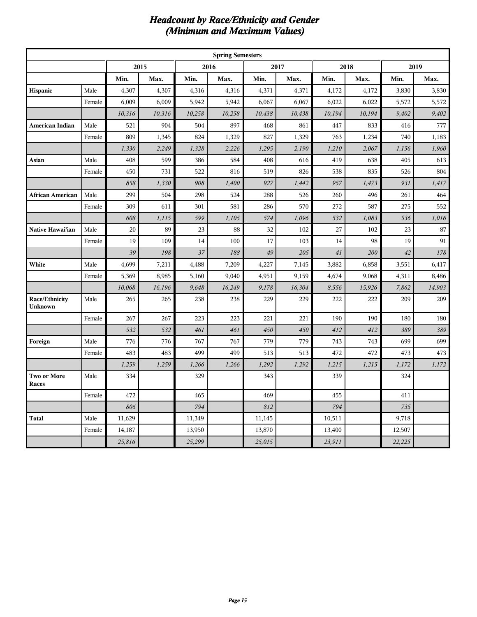#### *Headcount by Race/Ethnicity and Gender (Minimum and Maximum Values)*

|                             | <b>Spring Semesters</b> |        |        |        |        |        |        |        |        |        |        |  |
|-----------------------------|-------------------------|--------|--------|--------|--------|--------|--------|--------|--------|--------|--------|--|
|                             |                         |        | 2015   |        | 2016   |        | 2017   |        | 2018   |        | 2019   |  |
|                             |                         | Min.   | Max.   | Min.   | Max.   | Min.   | Max.   | Min.   | Max.   | Min.   | Max.   |  |
| Hispanic                    | Male                    | 4,307  | 4,307  | 4,316  | 4,316  | 4,371  | 4,371  | 4,172  | 4,172  | 3,830  | 3,830  |  |
|                             | Female                  | 6,009  | 6,009  | 5,942  | 5,942  | 6,067  | 6,067  | 6,022  | 6,022  | 5,572  | 5,572  |  |
|                             |                         | 10,316 | 10,316 | 10,258 | 10,258 | 10,438 | 10,438 | 10,194 | 10,194 | 9,402  | 9,402  |  |
| American Indian             | Male                    | 521    | 904    | 504    | 897    | 468    | 861    | 447    | 833    | 416    | 777    |  |
|                             | Female                  | 809    | 1,345  | 824    | 1,329  | 827    | 1,329  | 763    | 1,234  | 740    | 1,183  |  |
|                             |                         | 1,330  | 2,249  | 1,328  | 2,226  | 1,295  | 2,190  | 1,210  | 2,067  | 1,156  | 1,960  |  |
| Asian                       | Male                    | 408    | 599    | 386    | 584    | 408    | 616    | 419    | 638    | 405    | 613    |  |
|                             | Female                  | 450    | 731    | 522    | 816    | 519    | 826    | 538    | 835    | 526    | 804    |  |
|                             |                         | 858    | 1,330  | 908    | 1,400  | 927    | 1,442  | 957    | 1,473  | 931    | 1,417  |  |
| African American            | Male                    | 299    | 504    | 298    | 524    | 288    | 526    | 260    | 496    | 261    | 464    |  |
|                             | Female                  | 309    | 611    | 301    | 581    | 286    | 570    | 272    | 587    | 275    | 552    |  |
|                             |                         | 608    | 1,115  | 599    | 1,105  | 574    | 1,096  | 532    | 1,083  | 536    | 1,016  |  |
| Native Hawai'ian            | Male                    | 20     | 89     | 23     | 88     | 32     | 102    | 27     | 102    | 23     | 87     |  |
|                             | Female                  | 19     | 109    | 14     | 100    | 17     | 103    | 14     | 98     | 19     | 91     |  |
|                             |                         | 39     | 198    | 37     | 188    | 49     | 205    | 41     | 200    | 42     | 178    |  |
| White                       | Male                    | 4,699  | 7,211  | 4,488  | 7,209  | 4,227  | 7,145  | 3,882  | 6,858  | 3,551  | 6,417  |  |
|                             | Female                  | 5,369  | 8,985  | 5,160  | 9,040  | 4,951  | 9,159  | 4,674  | 9,068  | 4,311  | 8,486  |  |
|                             |                         | 10,068 | 16,196 | 9,648  | 16,249 | 9,178  | 16,304 | 8,556  | 15,926 | 7,862  | 14,903 |  |
| Race/Ethnicity<br>Unknown   | Male                    | 265    | 265    | 238    | 238    | 229    | 229    | 222    | 222    | 209    | 209    |  |
|                             | Female                  | 267    | 267    | 223    | 223    | 221    | 221    | 190    | 190    | 180    | 180    |  |
|                             |                         | 532    | 532    | 461    | 461    | 450    | 450    | 412    | 412    | 389    | 389    |  |
| Foreign                     | Male                    | 776    | 776    | 767    | 767    | 779    | 779    | 743    | 743    | 699    | 699    |  |
|                             | Female                  | 483    | 483    | 499    | 499    | 513    | 513    | 472    | 472    | 473    | 473    |  |
|                             |                         | 1,259  | 1,259  | 1,266  | 1,266  | 1,292  | 1,292  | 1,215  | 1,215  | 1,172  | 1,172  |  |
| Two or More<br><b>Races</b> | Male                    | 334    |        | 329    |        | 343    |        | 339    |        | 324    |        |  |
|                             | Female                  | 472    |        | 465    |        | 469    |        | 455    |        | 411    |        |  |
|                             |                         | 806    |        | 794    |        | 812    |        | 794    |        | 735    |        |  |
| Total                       | Male                    | 11,629 |        | 11,349 |        | 11,145 |        | 10,511 |        | 9,718  |        |  |
|                             | Female                  | 14,187 |        | 13,950 |        | 13,870 |        | 13,400 |        | 12,507 |        |  |
|                             |                         | 25,816 |        | 25,299 |        | 25,015 |        | 23,911 |        | 22,225 |        |  |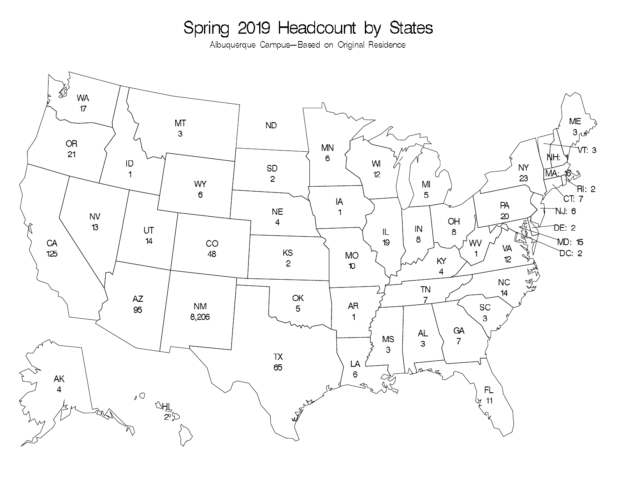# Spring 2019 Headcount by States

Albuquerque Campus-Based on Original Residence

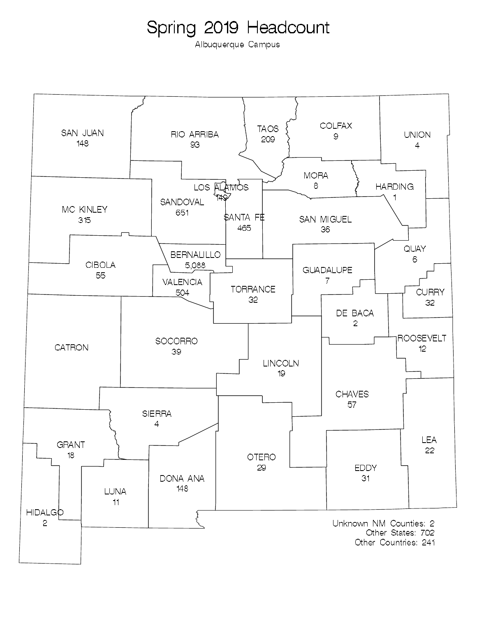Albuquerque Campus

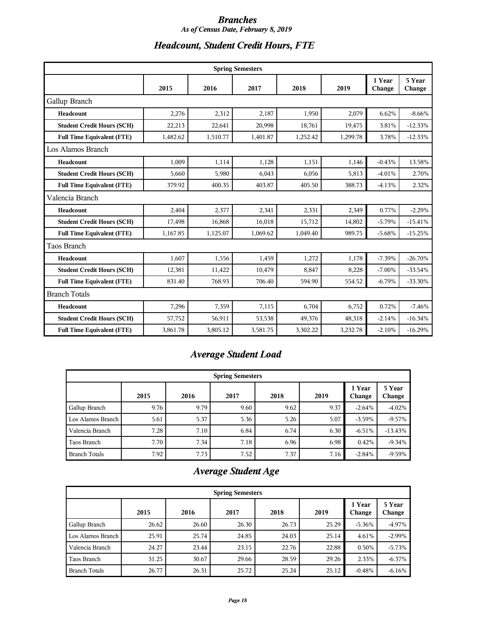#### *Branches As of Census Date, February 8, 2019*

# *Headcount, Student Credit Hours, FTE*

| <b>Spring Semesters</b>           |          |          |          |          |          |                  |                  |  |  |  |
|-----------------------------------|----------|----------|----------|----------|----------|------------------|------------------|--|--|--|
|                                   | 2015     | 2016     | 2017     | 2018     | 2019     | 1 Year<br>Change | 5 Year<br>Change |  |  |  |
| Gallup Branch                     |          |          |          |          |          |                  |                  |  |  |  |
| Headcount                         | 2,276    | 2,312    | 2,187    | 1,950    | 2,079    | 6.62%            | $-8.66%$         |  |  |  |
| <b>Student Credit Hours (SCH)</b> | 22,213   | 22,641   | 20,998   | 18,761   | 19,475   | 3.81%            | $-12.33%$        |  |  |  |
| <b>Full Time Equivalent (FTE)</b> | 1,482.62 | 1,510.77 | 1,401.87 | 1,252.42 | 1,299.78 | 3.78%            | $-12.33%$        |  |  |  |
| Los Alamos Branch                 |          |          |          |          |          |                  |                  |  |  |  |
| Headcount                         | 1,009    | 1,114    | 1,128    | 1,151    | 1,146    | $-0.43%$         | 13.58%           |  |  |  |
| <b>Student Credit Hours (SCH)</b> | 5,660    | 5,980    | 6,043    | 6,056    | 5,813    | $-4.01%$         | 2.70%            |  |  |  |
| <b>Full Time Equivalent (FTE)</b> | 379.92   | 400.35   | 403.87   | 405.50   | 388.73   | $-4.13%$         | 2.32%            |  |  |  |
| Valencia Branch                   |          |          |          |          |          |                  |                  |  |  |  |
| Headcount                         | 2,404    | 2,377    | 2,341    | 2,331    | 2,349    | 0.77%            | $-2.29%$         |  |  |  |
| <b>Student Credit Hours (SCH)</b> | 17,498   | 16,868   | 16,018   | 15,712   | 14,802   | $-5.79%$         | $-15.41%$        |  |  |  |
| <b>Full Time Equivalent (FTE)</b> | 1,167.85 | 1,125.07 | 1,069.62 | 1,049.40 | 989.75   | $-5.68%$         | $-15.25%$        |  |  |  |
| Taos Branch                       |          |          |          |          |          |                  |                  |  |  |  |
| Headcount                         | 1,607    | 1,556    | 1,459    | 1,272    | 1,178    | $-7.39%$         | $-26.70%$        |  |  |  |
| <b>Student Credit Hours (SCH)</b> | 12,381   | 11,422   | 10,479   | 8,847    | 8,228    | $-7.00%$         | $-33.54%$        |  |  |  |
| <b>Full Time Equivalent (FTE)</b> | 831.40   | 768.93   | 706.40   | 594.90   | 554.52   | $-6.79%$         | $-33.30%$        |  |  |  |
| <b>Branch Totals</b>              |          |          |          |          |          |                  |                  |  |  |  |
| Headcount                         | 7,296    | 7,359    | 7,115    | 6,704    | 6,752    | 0.72%            | $-7.46%$         |  |  |  |
| <b>Student Credit Hours (SCH)</b> | 57,752   | 56,911   | 53,538   | 49,376   | 48,318   | $-2.14%$         | $-16.34%$        |  |  |  |
| <b>Full Time Equivalent (FTE)</b> | 3,861.78 | 3,805.12 | 3,581.75 | 3,302.22 | 3,232.78 | $-2.10%$         | $-16.29%$        |  |  |  |

# *Average Student Load*

| <b>Spring Semesters</b> |      |      |      |      |      |                  |                  |  |  |  |  |
|-------------------------|------|------|------|------|------|------------------|------------------|--|--|--|--|
|                         | 2015 | 2016 | 2017 | 2018 | 2019 | 1 Year<br>Change | 5 Year<br>Change |  |  |  |  |
| Gallup Branch           | 9.76 | 9.79 | 9.60 | 9.62 | 9.37 | $-2.64%$         | $-4.02%$         |  |  |  |  |
| Los Alamos Branch       | 5.61 | 5.37 | 5.36 | 5.26 | 5.07 | $-3.59\%$        | $-9.57%$         |  |  |  |  |
| Valencia Branch         | 7.28 | 7.10 | 6.84 | 6.74 | 6.30 | $-6.51%$         | $-13.43%$        |  |  |  |  |
| Taos Branch             | 7.70 | 7.34 | 7.18 | 6.96 | 6.98 | 0.42%            | $-9.34%$         |  |  |  |  |
| <b>Branch Totals</b>    | 7.92 | 7.73 | 7.52 | 7.37 | 7.16 | $-2.84%$         | $-9.59%$         |  |  |  |  |

# *Average Student Age*

| <b>Spring Semesters</b> |       |       |       |       |       |                  |                  |  |  |  |  |
|-------------------------|-------|-------|-------|-------|-------|------------------|------------------|--|--|--|--|
|                         | 2015  | 2016  | 2017  | 2018  | 2019  | 1 Year<br>Change | 5 Year<br>Change |  |  |  |  |
| Gallup Branch           | 26.62 | 26.60 | 26.30 | 26.73 | 25.29 | $-5.36\%$        | $-4.97\%$        |  |  |  |  |
| Los Alamos Branch       | 25.91 | 25.74 | 24.85 | 24.03 | 25.14 | 4.61%            | $-2.99\%$        |  |  |  |  |
| Valencia Branch         | 24.27 | 23.44 | 23.15 | 22.76 | 22.88 | 0.50%            | $-5.73%$         |  |  |  |  |
| Taos Branch             | 31.25 | 30.67 | 29.66 | 28.59 | 29.26 | 2.33%            | $-6.37%$         |  |  |  |  |
| <b>Branch Totals</b>    | 26.77 | 26.31 | 25.72 | 25.24 | 25.12 | $-0.48%$         | $-6.16%$         |  |  |  |  |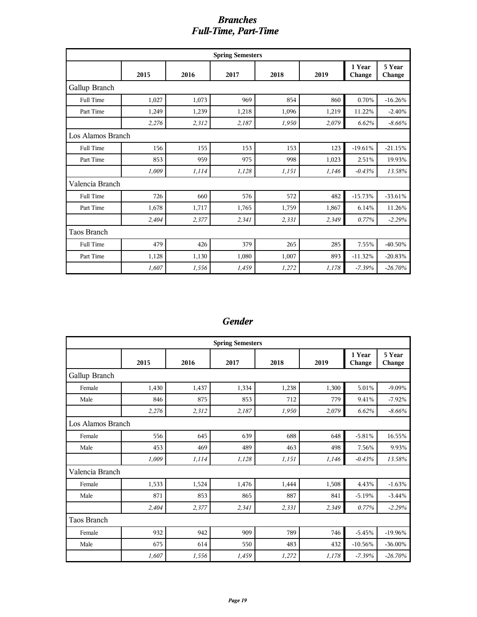#### *Branches Full-Time, Part-Time*

| <b>Spring Semesters</b> |       |       |       |       |       |                  |                  |  |  |  |  |
|-------------------------|-------|-------|-------|-------|-------|------------------|------------------|--|--|--|--|
|                         | 2015  | 2016  | 2017  | 2018  | 2019  | 1 Year<br>Change | 5 Year<br>Change |  |  |  |  |
| Gallup Branch           |       |       |       |       |       |                  |                  |  |  |  |  |
| <b>Full Time</b>        | 1,027 | 1,073 | 969   | 854   | 860   | 0.70%            | $-16.26%$        |  |  |  |  |
| Part Time               | 1,249 | 1,239 | 1,218 | 1,096 | 1,219 | 11.22%           | $-2.40%$         |  |  |  |  |
|                         | 2,276 | 2,312 | 2,187 | 1,950 | 2,079 | 6.62%            | $-8.66%$         |  |  |  |  |
| Los Alamos Branch       |       |       |       |       |       |                  |                  |  |  |  |  |
| <b>Full Time</b>        | 156   | 155   | 153   | 153   | 123   | $-19.61%$        | $-21.15%$        |  |  |  |  |
| Part Time               | 853   | 959   | 975   | 998   | 1,023 | 2.51%            | 19.93%           |  |  |  |  |
|                         | 1,009 | 1,114 | 1,128 | 1,151 | 1,146 | $-0.43%$         | 13.58%           |  |  |  |  |
| Valencia Branch         |       |       |       |       |       |                  |                  |  |  |  |  |
| <b>Full Time</b>        | 726   | 660   | 576   | 572   | 482   | $-15.73%$        | $-33.61%$        |  |  |  |  |
| Part Time               | 1,678 | 1,717 | 1,765 | 1,759 | 1,867 | 6.14%            | 11.26%           |  |  |  |  |
|                         | 2,404 | 2,377 | 2,341 | 2,331 | 2,349 | 0.77%            | $-2.29%$         |  |  |  |  |
| Taos Branch             |       |       |       |       |       |                  |                  |  |  |  |  |
| <b>Full Time</b>        | 479   | 426   | 379   | 265   | 285   | 7.55%            | -40.50%          |  |  |  |  |
| Part Time               | 1,128 | 1,130 | 1,080 | 1,007 | 893   | $-11.32%$        | $-20.83%$        |  |  |  |  |
|                         | 1,607 | 1,556 | 1,459 | 1,272 | 1,178 | $-7.39%$         | $-26.70%$        |  |  |  |  |

#### *Gender*

| <b>Spring Semesters</b> |       |       |       |       |       |                  |                  |  |  |  |
|-------------------------|-------|-------|-------|-------|-------|------------------|------------------|--|--|--|
|                         | 2015  | 2016  | 2017  | 2018  | 2019  | 1 Year<br>Change | 5 Year<br>Change |  |  |  |
| Gallup Branch           |       |       |       |       |       |                  |                  |  |  |  |
| Female                  | 1,430 | 1,437 | 1,334 | 1,238 | 1,300 | 5.01%            | $-9.09%$         |  |  |  |
| Male                    | 846   | 875   | 853   | 712   | 779   | 9.41%            | $-7.92%$         |  |  |  |
|                         | 2,276 | 2,312 | 2,187 | 1,950 | 2,079 | 6.62%            | $-8.66%$         |  |  |  |
| Los Alamos Branch       |       |       |       |       |       |                  |                  |  |  |  |
| Female                  | 556   | 645   | 639   | 688   | 648   | $-5.81%$         | 16.55%           |  |  |  |
| Male                    | 453   | 469   | 489   | 463   | 498   | 7.56%            | 9.93%            |  |  |  |
|                         | 1,009 | 1,114 | 1,128 | 1,151 | 1,146 | $-0.43%$         | 13.58%           |  |  |  |
| Valencia Branch         |       |       |       |       |       |                  |                  |  |  |  |
| Female                  | 1,533 | 1,524 | 1,476 | 1,444 | 1,508 | 4.43%            | $-1.63%$         |  |  |  |
| Male                    | 871   | 853   | 865   | 887   | 841   | $-5.19%$         | $-3.44%$         |  |  |  |
|                         | 2,404 | 2,377 | 2,341 | 2,331 | 2,349 | 0.77%            | $-2.29%$         |  |  |  |
| Taos Branch             |       |       |       |       |       |                  |                  |  |  |  |
| Female                  | 932   | 942   | 909   | 789   | 746   | $-5.45%$         | $-19.96%$        |  |  |  |
| Male                    | 675   | 614   | 550   | 483   | 432   | $-10.56%$        | $-36.00\%$       |  |  |  |
|                         | 1,607 | 1,556 | 1,459 | 1,272 | 1,178 | $-7.39%$         | $-26.70%$        |  |  |  |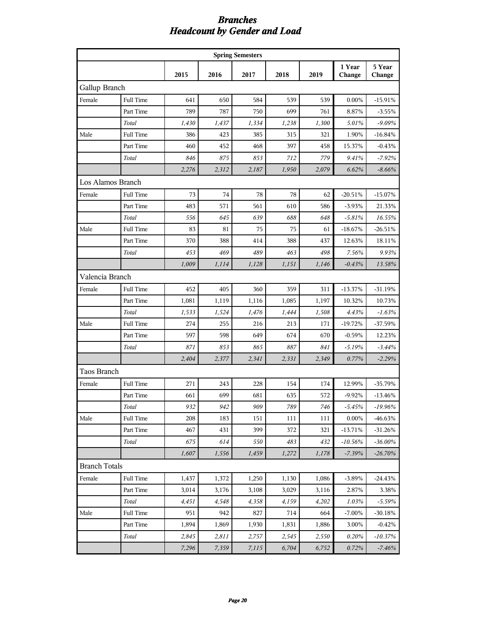#### *Branches Headcount by Gender and Load*

| <b>Spring Semesters</b> |                  |       |       |       |       |       |                  |                  |  |
|-------------------------|------------------|-------|-------|-------|-------|-------|------------------|------------------|--|
|                         |                  | 2015  | 2016  | 2017  | 2018  | 2019  | 1 Year<br>Change | 5 Year<br>Change |  |
| Gallup Branch           |                  |       |       |       |       |       |                  |                  |  |
| Female                  | Full Time        | 641   | 650   | 584   | 539   | 539   | 0.00%            | $-15.91%$        |  |
|                         | Part Time        | 789   | 787   | 750   | 699   | 761   | 8.87%            | $-3.55%$         |  |
|                         | Total            | 1,430 | 1,437 | 1,334 | 1,238 | 1,300 | 5.01%            | $-9.09%$         |  |
| Male                    | Full Time        | 386   | 423   | 385   | 315   | 321   | 1.90%            | $-16.84%$        |  |
|                         | Part Time        | 460   | 452   | 468   | 397   | 458   | 15.37%           | $-0.43%$         |  |
|                         | Total            | 846   | 875   | 853   | 712   | 779   | 9.41%            | $-7.92\%$        |  |
|                         |                  | 2,276 | 2,312 | 2,187 | 1,950 | 2,079 | 6.62%            | $-8.66%$         |  |
| Los Alamos Branch       |                  |       |       |       |       |       |                  |                  |  |
| Female                  | Full Time        | 73    | 74    | 78    | 78    | 62    | $-20.51%$        | $-15.07%$        |  |
|                         | Part Time        | 483   | 571   | 561   | 610   | 586   | $-3.93%$         | 21.33%           |  |
|                         | Total            | 556   | 645   | 639   | 688   | 648   | $-5.81%$         | 16.55%           |  |
| Male                    | Full Time        | 83    | 81    | 75    | 75    | 61    | $-18.67%$        | $-26.51%$        |  |
|                         | Part Time        | 370   | 388   | 414   | 388   | 437   | 12.63%           | 18.11%           |  |
|                         | Total            | 453   | 469   | 489   | 463   | 498   | 7.56%            | 9.93%            |  |
|                         |                  | 1,009 | 1,114 | 1,128 | 1,151 | 1,146 | $-0.43%$         | 13.58%           |  |
| Valencia Branch         |                  |       |       |       |       |       |                  |                  |  |
| Female                  | <b>Full Time</b> | 452   | 405   | 360   | 359   | 311   | $-13.37%$        | $-31.19%$        |  |
|                         | Part Time        | 1,081 | 1,119 | 1,116 | 1,085 | 1,197 | 10.32%           | 10.73%           |  |
|                         | Total            | 1,533 | 1,524 | 1,476 | 1,444 | 1,508 | 4.43%            | $-1.63%$         |  |
| Male                    | Full Time        | 274   | 255   | 216   | 213   | 171   | $-19.72%$        | $-37.59%$        |  |
|                         | Part Time        | 597   | 598   | 649   | 674   | 670   | $-0.59%$         | 12.23%           |  |
|                         | Total            | 871   | 853   | 865   | 887   | 841   | $-5.19%$         | $-3.44%$         |  |
|                         |                  | 2,404 | 2,377 | 2,341 | 2,331 | 2,349 | 0.77%            | $-2.29%$         |  |
| <b>Taos Branch</b>      |                  |       |       |       |       |       |                  |                  |  |
| Female                  | Full Time        | 271   | 243   | 228   | 154   | 174   | 12.99%           | $-35.79%$        |  |
|                         | Part Time        | 661   | 699   | 681   | 635   | 572   | $-9.92%$         | $-13.46\%$       |  |
|                         | Total            | 932   | 942   | 909   | 789   | 746   | $-5.45%$         | $-19.96%$        |  |
| Male                    | Full Time        | 208   | 183   | 151   | 111   | 111   | $0.00\%$         | -46.63%          |  |
|                         | Part Time        | 467   | 431   | 399   | 372   | 321   | $-13.71%$        | -31.26%          |  |
|                         | Total            | 675   | 614   | 550   | 483   | 432   | $-10.56\%$       | -36.00%          |  |
|                         |                  | 1,607 | 1,556 | 1,459 | 1,272 | 1,178 | $-7.39%$         | $-26.70%$        |  |
| <b>Branch Totals</b>    |                  |       |       |       |       |       |                  |                  |  |
| Female                  | Full Time        | 1,437 | 1,372 | 1,250 | 1,130 | 1,086 | $-3.89%$         | $-24.43%$        |  |
|                         | Part Time        | 3,014 | 3,176 | 3,108 | 3,029 | 3,116 | 2.87%            | 3.38%            |  |
|                         | Total            | 4,451 | 4,548 | 4,358 | 4,159 | 4,202 | 1.03%            | $-5.59%$         |  |
| Male                    | Full Time        | 951   | 942   | 827   | 714   | 664   | $-7.00\%$        | -30.18%          |  |
|                         | Part Time        | 1,894 | 1,869 | 1,930 | 1,831 | 1,886 | 3.00%            | $-0.42%$         |  |
|                         | Total            | 2,845 | 2,811 | 2,757 | 2,545 | 2,550 | 0.20%            | -10.37%          |  |
|                         |                  | 7,296 | 7,359 | 7,115 | 6,704 | 6,752 | 0.72%            | $-7.46%$         |  |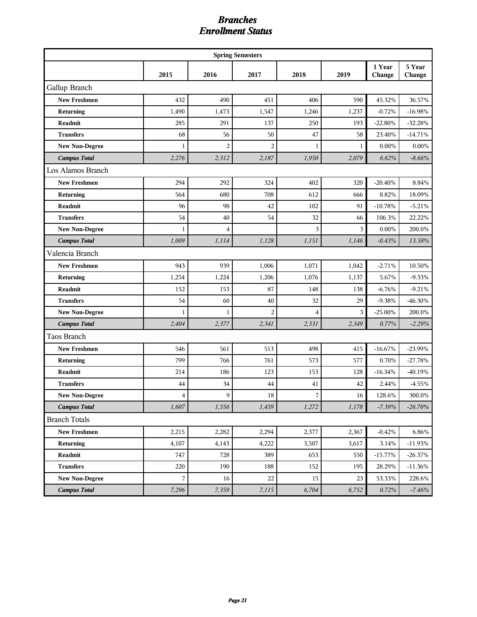#### *Branches Enrollment Status*

| <b>Spring Semesters</b> |              |                |                |                |        |                  |                  |  |  |
|-------------------------|--------------|----------------|----------------|----------------|--------|------------------|------------------|--|--|
|                         | 2015         | 2016           | 2017           | 2018           | 2019   | 1 Year<br>Change | 5 Year<br>Change |  |  |
| Gallup Branch           |              |                |                |                |        |                  |                  |  |  |
| <b>New Freshmen</b>     | 432          | 490            | 451            | 406            | 590    | 45.32%           | 36.57%           |  |  |
| Returning               | 1,490        | 1,473          | 1,547          | 1,246          | 1,237  | $-0.72%$         | $-16.98%$        |  |  |
| <b>Readmit</b>          | 285          | 291            | 137            | 250            | 193    | $-22.80%$        | $-32.28%$        |  |  |
| <b>Transfers</b>        | 68           | 56             | 50             | 47             | 58     | 23.40%           | $-14.71%$        |  |  |
| <b>New Non-Degree</b>   | 1            | $\overline{c}$ | $\overline{2}$ | 1              | 1      | 0.00%            | 0.00%            |  |  |
| <b>Campus Total</b>     | 2,276        | 2,312          | 2,187          | 1,950          | 2,079  | 6.62%            | $-8.66%$         |  |  |
| Los Alamos Branch       |              |                |                |                |        |                  |                  |  |  |
| <b>New Freshmen</b>     | 294          | 292            | 324            | 402            | 320    | $-20.40%$        | 8.84%            |  |  |
| Returning               | 564          | 680            | 708            | 612            | 666    | 8.82%            | 18.09%           |  |  |
| Readmit                 | 96           | 98             | 42             | 102            | 91     | $-10.78%$        | $-5.21%$         |  |  |
| <b>Transfers</b>        | 54           | 40             | 54             | 32             | 66     | 106.3%           | 22.22%           |  |  |
| <b>New Non-Degree</b>   | 1            | 4              |                | 3              | 3      | $0.00\%$         | 200.0%           |  |  |
| <b>Campus Total</b>     | 1,009        | 1,114          | 1,128          | 1,151          | 1,146  | $-0.43%$         | 13.58%           |  |  |
| Valencia Branch         |              |                |                |                |        |                  |                  |  |  |
| <b>New Freshmen</b>     | 943          | 939            | 1,006          | 1,071          | 1,042  | $-2.71%$         | 10.50%           |  |  |
| Returning               | 1,254        | 1,224          | 1,206          | 1,076          | 1,137  | 5.67%            | $-9.33%$         |  |  |
| <b>Readmit</b>          | 152          | 153            | 87             | 148            | 138    | $-6.76%$         | $-9.21%$         |  |  |
| <b>Transfers</b>        | 54           | 60             | 40             | 32             | 29     | $-9.38%$         | $-46.30\%$       |  |  |
| <b>New Non-Degree</b>   | $\mathbf{1}$ | $\mathbf{1}$   | $\overline{c}$ | $\overline{4}$ | 3      | $-25.00\%$       | 200.0%           |  |  |
| <b>Campus Total</b>     | 2,404        | 2,377          | 2,341          | 2,331          | 2,349  | 0.77%            | $-2.29%$         |  |  |
| Taos Branch             |              |                |                |                |        |                  |                  |  |  |
| <b>New Freshmen</b>     | 546          | 561            | 513            | 498            | 415    | $-16.67%$        | $-23.99%$        |  |  |
| Returning               | 799          | 766            | 761            | 573            | 577    | 0.70%            | $-27.78%$        |  |  |
| Readmit                 | 214          | 186            | 123            | 153            | 128    | $-16.34%$        | $-40.19%$        |  |  |
| <b>Transfers</b>        | 44           | 34             | 44             | 41             | 42     | 2.44%            | $-4.55%$         |  |  |
| New Non-Degree          | $\Delta$     | 9              | 18             | $\sqrt{ }$     | $16\,$ | 128.6%           | $300.0\%$        |  |  |
| <b>Campus Total</b>     | 1,607        | 1,556          | 1,459          | 1,272          | 1,178  | $-7.39%$         | $-26.70%$        |  |  |
| <b>Branch Totals</b>    |              |                |                |                |        |                  |                  |  |  |
| New Freshmen            | 2,215        | 2,282          | 2,294          | 2,377          | 2,367  | $-0.42%$         | 6.86%            |  |  |
| Returning               | 4,107        | 4,143          | 4,222          | 3,507          | 3,617  | 3.14%            | $-11.93%$        |  |  |
| Readmit                 | 747          | 728            | 389            | 653            | 550    | $-15.77%$        | $-26.37%$        |  |  |
| <b>Transfers</b>        | 220          | 190            | 188            | 152            | 195    | 28.29%           | $-11.36\%$       |  |  |
| <b>New Non-Degree</b>   | 7            | 16             | $22\,$         | 15             | 23     | 53.33%           | 228.6%           |  |  |
| <b>Campus Total</b>     | 7,296        | 7,359          | 7,115          | 6,704          | 6,752  | 0.72%            | $-7.46%$         |  |  |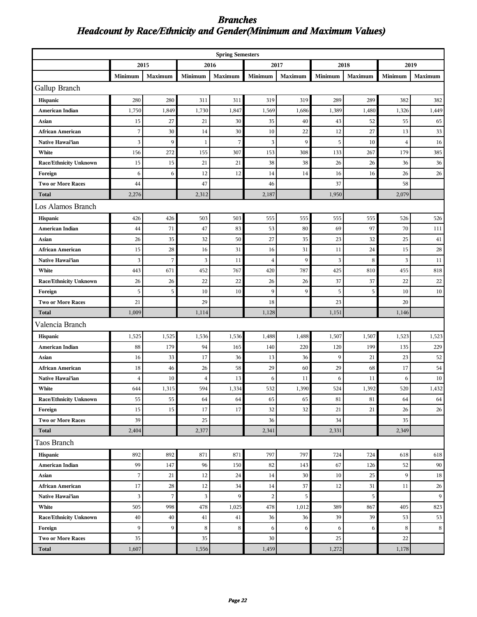### *Branches Headcount by Race/Ethnicity and Gender(Minimum and Maximum Values)*

| <b>Spring Semesters</b>       |                |                |                |         |                |         |         |         |                |              |
|-------------------------------|----------------|----------------|----------------|---------|----------------|---------|---------|---------|----------------|--------------|
|                               |                | 2015           | 2016           |         | 2017           |         | 2018    |         | 2019           |              |
|                               | Minimum        | Maximum        | Minimum        | Maximum | Minimum        | Maximum | Minimum | Maximum | Minimum        | Maximum      |
| Gallup Branch                 |                |                |                |         |                |         |         |         |                |              |
| Hispanic                      | 280            | 280            | 311            | 311     | 319            | 319     | 289     | 289     | 382            | 382          |
| American Indian               | 1,750          | 1,849          | 1,730          | 1,847   | 1,569          | 1,686   | 1,389   | 1,480   | 1,326          | 1,449        |
| Asian                         | 15             | 27             | 21             | 30      | 35             | 40      | 43      | 52      | 55             | 65           |
| <b>African American</b>       | 7              | 30             | 14             | 30      | 10             | 22      | 12      | 27      | 13             | 33           |
| <b>Native Hawai'ian</b>       | 3              | 9              | $\mathbf{1}$   | 7       | 3              | 9       | 5       | 10      | $\overline{4}$ | 16           |
| White                         | 156            | 272            | 155            | 307     | 153            | 308     | 133     | 267     | 179            | 385          |
| <b>Race/Ethnicity Unknown</b> | 15             | 15             | 21             | 21      | 38             | 38      | 26      | 26      | 36             | 36           |
| Foreign                       | 6              | 6              | 12             | 12      | 14             | 14      | 16      | 16      | 26             | 26           |
| <b>Two or More Races</b>      | 44             |                | 47             |         | 46             |         | 37      |         | 58             |              |
| <b>Total</b>                  | 2,276          |                | 2,312          |         | 2,187          |         | 1,950   |         | 2,079          |              |
| Los Alamos Branch             |                |                |                |         |                |         |         |         |                |              |
| Hispanic                      | 426            | 426            | 503            | 503     | 555            | 555     | 555     | 555     | 526            | 526          |
| <b>American Indian</b>        | 44             | 71             | 47             | 83      | 53             | 80      | 69      | 97      | 70             | 111          |
| Asian                         | 26             | 35             | 32             | 50      | 27             | 35      | 23      | 32      | 25             | 41           |
| <b>African American</b>       | 15             | 28             | 16             | 31      | 16             | 31      | 11      | 24      | 15             | 28           |
| Native Hawai'ian              | 3              | $\overline{7}$ | 3              | 11      | $\overline{4}$ | 9       | 3       | 8       | 3              | 11           |
| White                         | 443            | 671            | 452            | 767     | 420            | 787     | 425     | 810     | 455            | 818          |
| <b>Race/Ethnicity Unknown</b> | 26             | 26             | 22             | 22      | 26             | 26      | 37      | 37      | 22             | 22           |
| Foreign                       | 5              | 5              | 10             | 10      | 9              | 9       | 5       | 5       | 10             | 10           |
| <b>Two or More Races</b>      | 21             |                | 29             |         | 18             |         | 23      |         | 20             |              |
| <b>Total</b>                  | 1,009          |                | 1,114          |         | 1,128          |         | 1,151   |         | 1,146          |              |
| Valencia Branch               |                |                |                |         |                |         |         |         |                |              |
| Hispanic                      | 1,525          | 1,525          | 1,536          | 1,536   | 1,488          | 1,488   | 1,507   | 1,507   | 1,523          | 1,523        |
| American Indian               | 88             | 179            | 94             | 165     | 140            | 220     | 120     | 199     | 135            | 229          |
| Asian                         | 16             | 33             | 17             | 36      | 13             | 36      | 9       | 21      | 23             | 52           |
| <b>African American</b>       | 18             | 46             | 26             | 58      | 29             | 60      | 29      | 68      | 17             | 54           |
| Native Hawai'ian              | $\overline{4}$ | 10             | $\overline{4}$ | 13      | 6              | 11      | 6       | 11      | 6              | 10           |
| White                         | 644            | 1,315          | 594            | 1,334   | 532            | 1,390   | 524     | 1,392   | 520            | 1,432        |
| <b>Race/Ethnicity Unknown</b> | 55             | 55             | 64             | 64      | 65             | 65      | 81      | 81      | 64             | 64           |
| Foreign                       | 15             | 15             | 17             | 17      | 32             | 32      | 21      | 21      | 26             | 26           |
| <b>Two or More Races</b>      | 39             |                | 25             |         | 36             |         | 34      |         | 35             |              |
| <b>Total</b>                  | 2,404          |                | 2,377          |         | 2,341          |         | 2,331   |         | 2,349          |              |
| Taos Branch                   |                |                |                |         |                |         |         |         |                |              |
| Hispanic                      | 892            | 892            | 871            | 871     | 797            | 797     | 724     | 724     | 618            | 618          |
| American Indian               | 99             | 147            | 96             | 150     | 82             | 143     | 67      | 126     | 52             | $90\text{ }$ |
| Asian                         | $\sqrt{ }$     | 21             | 12             | 24      | 14             | 30      | 10      | 25      | 9              | $18\,$       |
| <b>African American</b>       | 17             | $28\,$         | 12             | $34\,$  | 14             | $37\,$  | 12      | 31      | 11             | $26\,$       |
| Native Hawai'ian              | 3              | $\sqrt{ }$     | $\mathbf{3}$   | 9       | $\sqrt{2}$     | 5       |         | 5       |                | 9            |
| White                         | 505            | 998            | 478            | 1,025   | 478            | 1,012   | 389     | 867     | 405            | 823          |
| <b>Race/Ethnicity Unknown</b> | 40             | 40             | 41             | 41      | 36             | 36      | 39      | 39      | 53             | 53           |
| Foreign                       | 9              | $\overline{9}$ | $\,8\,$        | 8       | 6              | 6       | 6       | 6       | 8              | 8            |
| <b>Two or More Races</b>      | 35             |                | 35             |         | 30             |         | 25      |         | 22             |              |
| <b>Total</b>                  | 1,607          |                | 1,556          |         | 1,459          |         | 1,272   |         | 1,178          |              |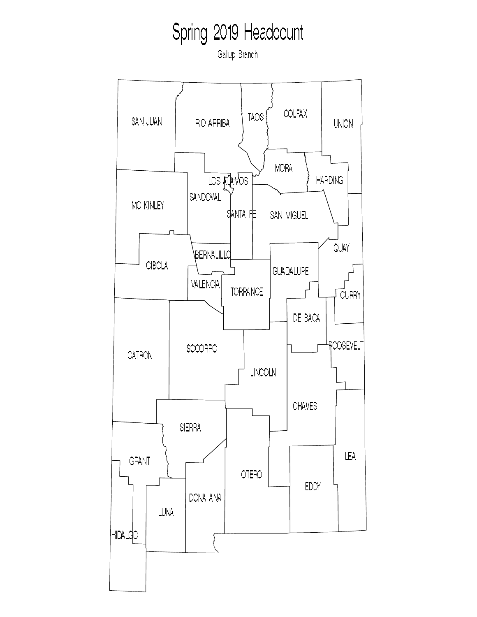Gallup Branch

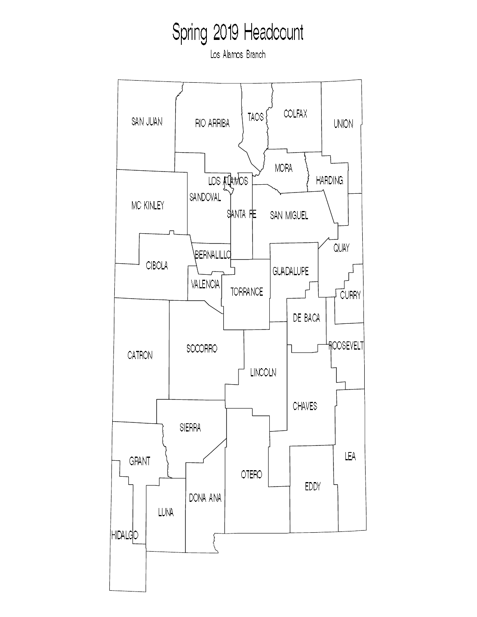Los Alamos Branch

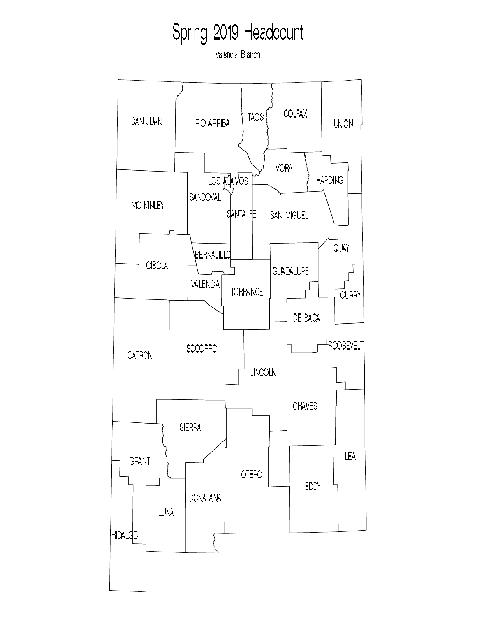Valencia Branch

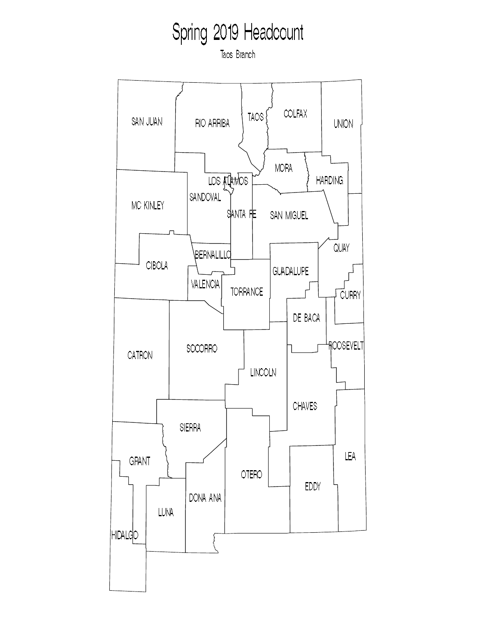Tacs Branch